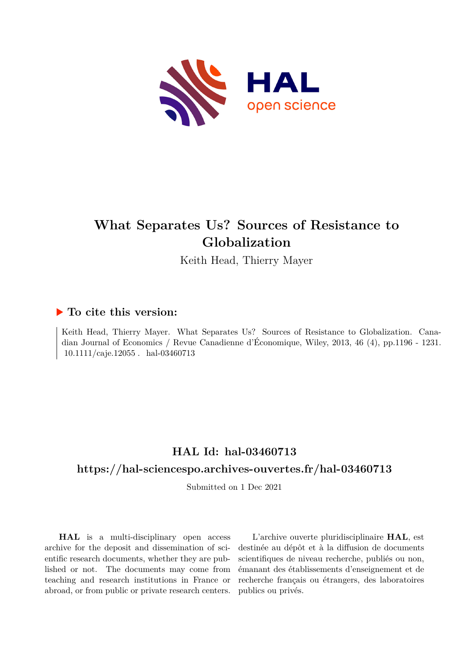

# **What Separates Us? Sources of Resistance to Globalization**

Keith Head, Thierry Mayer

### **To cite this version:**

Keith Head, Thierry Mayer. What Separates Us? Sources of Resistance to Globalization. Canadian Journal of Economics / Revue Canadienne d'Économique, Wiley, 2013, 46 (4), pp.1196 - 1231.  $10.1111/c$ aje.12055. hal-03460713

## **HAL Id: hal-03460713 <https://hal-sciencespo.archives-ouvertes.fr/hal-03460713>**

Submitted on 1 Dec 2021

**HAL** is a multi-disciplinary open access archive for the deposit and dissemination of scientific research documents, whether they are published or not. The documents may come from teaching and research institutions in France or abroad, or from public or private research centers.

L'archive ouverte pluridisciplinaire **HAL**, est destinée au dépôt et à la diffusion de documents scientifiques de niveau recherche, publiés ou non, émanant des établissements d'enseignement et de recherche français ou étrangers, des laboratoires publics ou privés.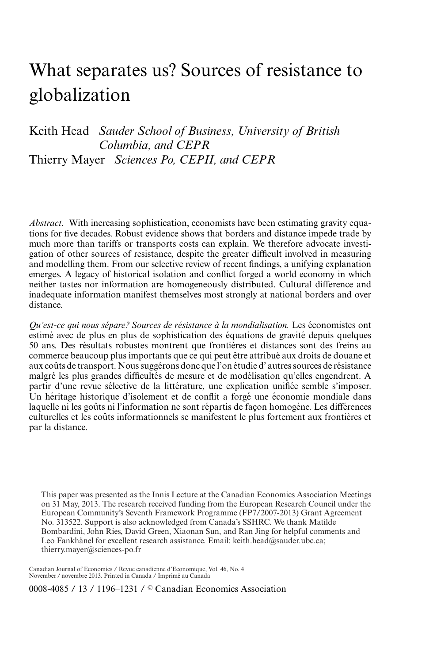# What separates us? Sources of resistance to globalization

Keith Head *Sauder School of Business, University of British Columbia, and CEPR* Thierry Mayer *Sciences Po, CEPII, and CEPR*

*Abstract.* With increasing sophistication, economists have been estimating gravity equations for five decades. Robust evidence shows that borders and distance impede trade by much more than tariffs or transports costs can explain. We therefore advocate investigation of other sources of resistance, despite the greater difficult involved in measuring and modelling them. From our selective review of recent findings, a unifying explanation emerges. A legacy of historical isolation and conflict forged a world economy in which neither tastes nor information are homogeneously distributed. Cultural difference and inadequate information manifest themselves most strongly at national borders and over distance.

*Qu'est-ce qui nous separe? Sources de r ´ esistance ´ a la mondialisation. `* Les economistes ont ´ estimé avec de plus en plus de sophistication des équations de gravité depuis quelques 50 ans. Des résultats robustes montrent que frontières et distances sont des freins au commerce beaucoup plus importants que ce qui peut être attribué aux droits de douane et aux coûts de transport. Nous suggérons donc que l'on étudie d'autres sources de résistance malgré les plus grandes difficultés de mesure et de modélisation qu'elles engendrent. A partir d'une revue sélective de la littérature, une explication unifiée semble s'imposer. Un héritage historique d'isolement et de conflit a forgé une économie mondiale dans laquelle ni les goûts ni l'information ne sont répartis de façon homogène. Les différences culturelles et les coûts informationnels se manifestent le plus fortement aux frontières et par la distance.

This paper was presented as the Innis Lecture at the Canadian Economics Association Meetings on 31 May, 2013. The research received funding from the European Research Council under the European Community's Seventh Framework Programme (FP7/2007-2013) Grant Agreement No. 313522. Support is also acknowledged from Canada's SSHRC. We thank Matilde Bombardini, John Ries, David Green, Xiaonan Sun, and Ran Jing for helpful comments and Leo Fankhänel for excellent research assistance. Email: keith.head@sauder.ubc.ca; thierry.mayer@sciences-po.fr

Canadian Journal of Economics / Revue canadienne d'Economique, Vol. 46, No. 4 November / novembre 2013. Printed in Canada / Imprime au Canada ´

0008-4085 / 13 / 1196–1231 / © Canadian Economics Association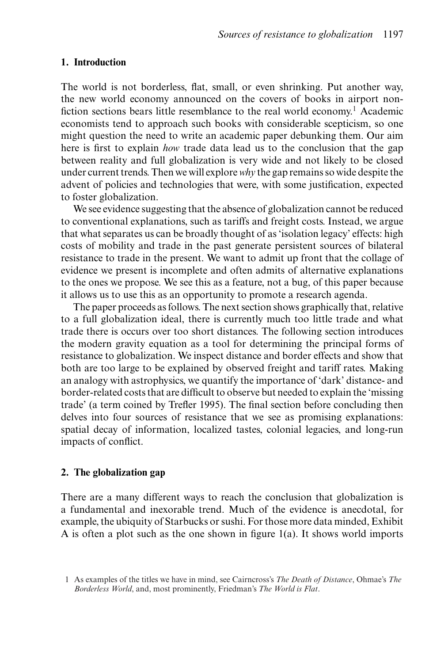#### **1. Introduction**

The world is not borderless, flat, small, or even shrinking. Put another way, the new world economy announced on the covers of books in airport nonfiction sections bears little resemblance to the real world economy.<sup>1</sup> Academic economists tend to approach such books with considerable scepticism, so one might question the need to write an academic paper debunking them. Our aim here is first to explain *how* trade data lead us to the conclusion that the gap between reality and full globalization is very wide and not likely to be closed under current trends. Then we will explore*why* the gap remains so wide despite the advent of policies and technologies that were, with some justification, expected to foster globalization.

We see evidence suggesting that the absence of globalization cannot be reduced to conventional explanations, such as tariffs and freight costs. Instead, we argue that what separates us can be broadly thought of as 'isolation legacy' effects: high costs of mobility and trade in the past generate persistent sources of bilateral resistance to trade in the present. We want to admit up front that the collage of evidence we present is incomplete and often admits of alternative explanations to the ones we propose. We see this as a feature, not a bug, of this paper because it allows us to use this as an opportunity to promote a research agenda.

The paper proceeds as follows. The next section shows graphically that, relative to a full globalization ideal, there is currently much too little trade and what trade there is occurs over too short distances. The following section introduces the modern gravity equation as a tool for determining the principal forms of resistance to globalization. We inspect distance and border effects and show that both are too large to be explained by observed freight and tariff rates. Making an analogy with astrophysics, we quantify the importance of 'dark' distance- and border-related costs that are difficult to observe but needed to explain the 'missing trade' (a term coined by Trefler 1995). The final section before concluding then delves into four sources of resistance that we see as promising explanations: spatial decay of information, localized tastes, colonial legacies, and long-run impacts of conflict.

#### **2. The globalization gap**

There are a many different ways to reach the conclusion that globalization is a fundamental and inexorable trend. Much of the evidence is anecdotal, for example, the ubiquity of Starbucks or sushi. For those more data minded, Exhibit A is often a plot such as the one shown in figure 1(a). It shows world imports

<sup>1</sup> As examples of the titles we have in mind, see Cairncross's *The Death of Distance*, Ohmae's *The Borderless World*, and, most prominently, Friedman's *The World is Flat*.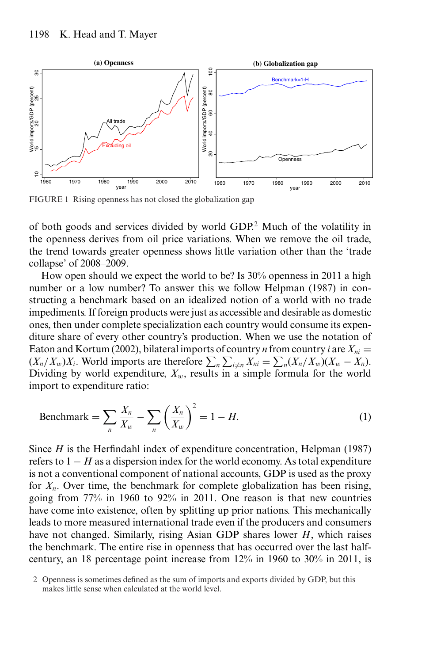

FIGURE 1 Rising openness has not closed the globalization gap

of both goods and services divided by world GDP.2 Much of the volatility in the openness derives from oil price variations. When we remove the oil trade, the trend towards greater openness shows little variation other than the 'trade collapse' of 2008–2009.

How open should we expect the world to be? Is 30% openness in 2011 a high number or a low number? To answer this we follow Helpman (1987) in constructing a benchmark based on an idealized notion of a world with no trade impediments. If foreign products were just as accessible and desirable as domestic ones, then under complete specialization each country would consume its expenditure share of every other country's production. When we use the notation of Eaton and Kortum (2002), bilateral imports of country *n* from country *i* are  $X_{ni}$  =  $(X_n/X_w)X_i$ . World imports are therefore  $\sum_n \sum_{i \neq n} X_{ni} = \sum_n (X_n/X_w)(X_w - X_n)$ . Dividing by world expenditure,  $X_w$ , results in a simple formula for the world import to expenditure ratio:

$$
\text{Benchmark} = \sum_{n} \frac{X_n}{X_w} - \sum_{n} \left(\frac{X_n}{X_w}\right)^2 = 1 - H. \tag{1}
$$

Since *H* is the Herfindahl index of expenditure concentration, Helpman (1987) refers to  $1 - H$  as a dispersion index for the world economy. As total expenditure is not a conventional component of national accounts, GDP is used as the proxy for  $X_n$ . Over time, the benchmark for complete globalization has been rising, going from 77% in 1960 to 92% in 2011. One reason is that new countries have come into existence, often by splitting up prior nations. This mechanically leads to more measured international trade even if the producers and consumers have not changed. Similarly, rising Asian GDP shares lower *H*, which raises the benchmark. The entire rise in openness that has occurred over the last halfcentury, an 18 percentage point increase from 12% in 1960 to 30% in 2011, is

<sup>2</sup> Openness is sometimes defined as the sum of imports and exports divided by GDP, but this makes little sense when calculated at the world level.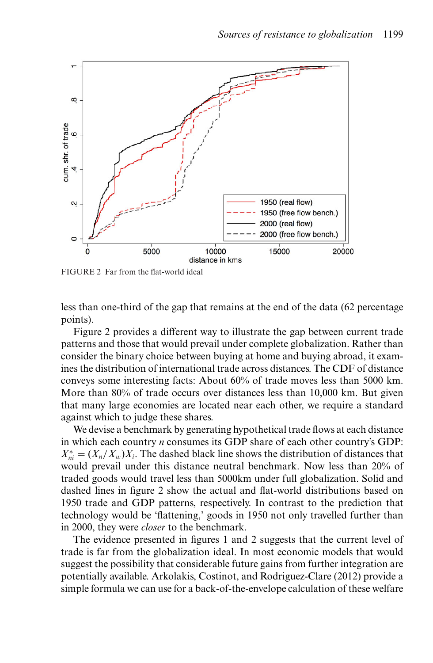

FIGURE 2 Far from the flat-world ideal

less than one-third of the gap that remains at the end of the data (62 percentage points).

Figure 2 provides a different way to illustrate the gap between current trade patterns and those that would prevail under complete globalization. Rather than consider the binary choice between buying at home and buying abroad, it examines the distribution of international trade across distances. The CDF of distance conveys some interesting facts: About 60% of trade moves less than 5000 km. More than 80% of trade occurs over distances less than 10,000 km. But given that many large economies are located near each other, we require a standard against which to judge these shares.

We devise a benchmark by generating hypothetical trade flows at each distance in which each country *n* consumes its GDP share of each other country's GDP:  $X_{ni}^* = (X_n/X_w)X_i$ . The dashed black line shows the distribution of distances that would prevail under this distance neutral benchmark. Now less than 20% of traded goods would travel less than 5000km under full globalization. Solid and dashed lines in figure 2 show the actual and flat-world distributions based on 1950 trade and GDP patterns, respectively. In contrast to the prediction that technology would be 'flattening,' goods in 1950 not only travelled further than in 2000, they were *closer* to the benchmark.

The evidence presented in figures 1 and 2 suggests that the current level of trade is far from the globalization ideal. In most economic models that would suggest the possibility that considerable future gains from further integration are potentially available. Arkolakis, Costinot, and Rodriguez-Clare (2012) provide a simple formula we can use for a back-of-the-envelope calculation of these welfare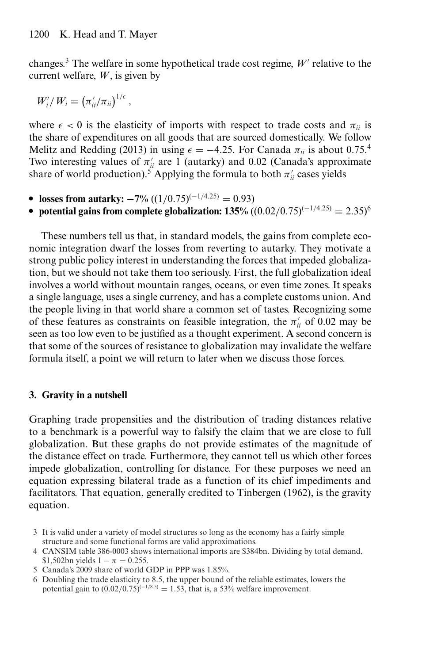changes.<sup>3</sup> The welfare in some hypothetical trade cost regime,  $W'$  relative to the current welfare, *W*, is given by

$$
W'_i / W_i = \left(\pi'_{ii}/\pi_{ii}\right)^{1/\epsilon},
$$

where  $\epsilon < 0$  is the elasticity of imports with respect to trade costs and  $\pi_{ii}$  is the share of expenditures on all goods that are sourced domestically. We follow Melitz and Redding (2013) in using  $\epsilon = -4.25$ . For Canada  $\pi_{ii}$  is about 0.75.<sup>4</sup> Two interesting values of  $\pi'_{ii}$  are 1 (autarky) and 0.02 (Canada's approximate share of world production).<sup>5</sup> Applying the formula to both  $\pi'_{ii}$  cases yields

- losses from autarky:  $-7\%$  ((1/0.75)<sup> $(-1/4.25)$ </sup> = 0.93)
- **losses from autarky:**  $-7\%$  **((1/0.75)<sup>(−1/4.25)</sup> = 0.93)<br>
<b>•** potential gains from complete globalization: 135% ((0.02/0.75)<sup>(−1/4.25)</sup> = 2.35)<sup>6</sup>

These numbers tell us that, in standard models, the gains from complete economic integration dwarf the losses from reverting to autarky. They motivate a strong public policy interest in understanding the forces that impeded globalization, but we should not take them too seriously. First, the full globalization ideal involves a world without mountain ranges, oceans, or even time zones. It speaks a single language, uses a single currency, and has a complete customs union. And the people living in that world share a common set of tastes. Recognizing some of these features as constraints on feasible integration, the  $\pi'_{ii}$  of 0.02 may be seen as too low even to be justified as a thought experiment. A second concern is that some of the sources of resistance to globalization may invalidate the welfare formula itself, a point we will return to later when we discuss those forces.

#### **3. Gravity in a nutshell**

Graphing trade propensities and the distribution of trading distances relative to a benchmark is a powerful way to falsify the claim that we are close to full globalization. But these graphs do not provide estimates of the magnitude of the distance effect on trade. Furthermore, they cannot tell us which other forces impede globalization, controlling for distance. For these purposes we need an equation expressing bilateral trade as a function of its chief impediments and facilitators. That equation, generally credited to Tinbergen (1962), is the gravity equation.

- 3 It is valid under a variety of model structures so long as the economy has a fairly simple structure and some functional forms are valid approximations.
- 4 CANSIM table 386-0003 shows international imports are \$384bn. Dividing by total demand, \$1,502bn yields  $1 - \pi = 0.255$ .
- 5 Canada's 2009 share of world GDP in PPP was 1.85%.
- 6 Doubling the trade elasticity to 8.5, the upper bound of the reliable estimates, lowers the potential gain to  $(0.02/0.75)^{(-1/8.5)} = 1.53$ , that is, a 53% welfare improvement.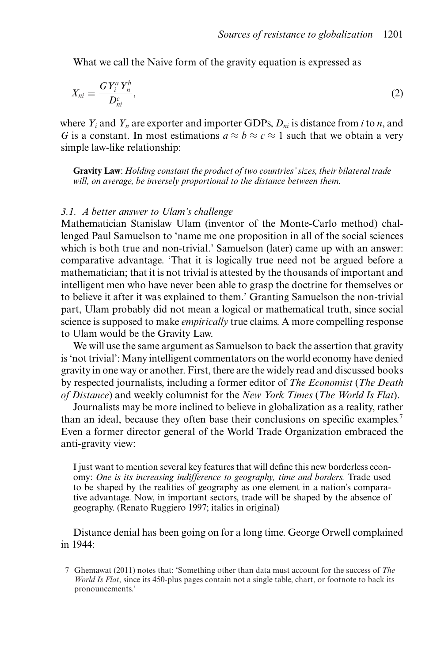What we call the Naive form of the gravity equation is expressed as

$$
X_{ni} = \frac{GY_i^a Y_n^b}{D_{ni}^c},\tag{2}
$$

where  $Y_i$  and  $Y_n$  are exporter and importer GDPs,  $D_{ni}$  is distance from *i* to *n*, and *G* is a constant. In most estimations  $a \approx b \approx c \approx 1$  such that we obtain a very simple law-like relationship:

**Gravity Law**: *Holding constant the product of two countries' sizes, their bilateral trade will, on average, be inversely proportional to the distance between them.*

#### *3.1. A better answer to Ulam's challenge*

Mathematician Stanislaw Ulam (inventor of the Monte-Carlo method) challenged Paul Samuelson to 'name me one proposition in all of the social sciences which is both true and non-trivial.' Samuelson (later) came up with an answer: comparative advantage. 'That it is logically true need not be argued before a mathematician; that it is not trivial is attested by the thousands of important and intelligent men who have never been able to grasp the doctrine for themselves or to believe it after it was explained to them.' Granting Samuelson the non-trivial part, Ulam probably did not mean a logical or mathematical truth, since social science is supposed to make *empirically* true claims. A more compelling response to Ulam would be the Gravity Law.

We will use the same argument as Samuelson to back the assertion that gravity is 'not trivial': Many intelligent commentators on the world economy have denied gravity in one way or another. First, there are the widely read and discussed books by respected journalists, including a former editor of *The Economist* (*The Death of Distance*) and weekly columnist for the *New York Times* (*The World Is Flat*).

Journalists may be more inclined to believe in globalization as a reality, rather than an ideal, because they often base their conclusions on specific examples.<sup>7</sup> Even a former director general of the World Trade Organization embraced the anti-gravity view:

I just want to mention several key features that will define this new borderless economy: *One is its increasing indifference to geography, time and borders.* Trade used to be shaped by the realities of geography as one element in a nation's comparative advantage. Now, in important sectors, trade will be shaped by the absence of geography. (Renato Ruggiero 1997; italics in original)

Distance denial has been going on for a long time. George Orwell complained in 1944:

7 Ghemawat (2011) notes that: 'Something other than data must account for the success of *The World Is Flat*, since its 450-plus pages contain not a single table, chart, or footnote to back its pronouncements.'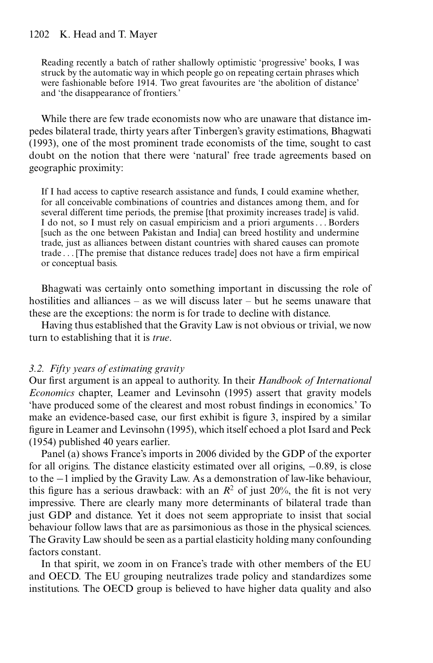#### 1202 K. Head and T. Mayer

Reading recently a batch of rather shallowly optimistic 'progressive' books, I was struck by the automatic way in which people go on repeating certain phrases which were fashionable before 1914. Two great favourites are 'the abolition of distance' and 'the disappearance of frontiers.'

While there are few trade economists now who are unaware that distance impedes bilateral trade, thirty years after Tinbergen's gravity estimations, Bhagwati (1993), one of the most prominent trade economists of the time, sought to cast doubt on the notion that there were 'natural' free trade agreements based on geographic proximity:

If I had access to captive research assistance and funds, I could examine whether, for all conceivable combinations of countries and distances among them, and for several different time periods, the premise [that proximity increases trade] is valid. I do not, so I must rely on casual empiricism and a priori arguments . . . Borders [such as the one between Pakistan and India] can breed hostility and undermine trade, just as alliances between distant countries with shared causes can promote trade . . . [The premise that distance reduces trade] does not have a firm empirical or conceptual basis.

Bhagwati was certainly onto something important in discussing the role of hostilities and alliances – as we will discuss later – but he seems unaware that these are the exceptions: the norm is for trade to decline with distance.

Having thus established that the Gravity Law is not obvious or trivial, we now turn to establishing that it is *true*.

#### *3.2. Fifty years of estimating gravity*

Our first argument is an appeal to authority. In their *Handbook of International Economics* chapter, Leamer and Levinsohn (1995) assert that gravity models 'have produced some of the clearest and most robust findings in economics.' To make an evidence-based case, our first exhibit is figure 3, inspired by a similar figure in Leamer and Levinsohn (1995), which itself echoed a plot Isard and Peck (1954) published 40 years earlier.

Panel (a) shows France's imports in 2006 divided by the GDP of the exporter for all origins. The distance elasticity estimated over all origins, −0.89, is close to the −1 implied by the Gravity Law. As a demonstration of law-like behaviour, this figure has a serious drawback: with an  $R^2$  of just 20%, the fit is not very impressive. There are clearly many more determinants of bilateral trade than just GDP and distance. Yet it does not seem appropriate to insist that social behaviour follow laws that are as parsimonious as those in the physical sciences. The Gravity Law should be seen as a partial elasticity holding many confounding factors constant.

In that spirit, we zoom in on France's trade with other members of the EU and OECD. The EU grouping neutralizes trade policy and standardizes some institutions. The OECD group is believed to have higher data quality and also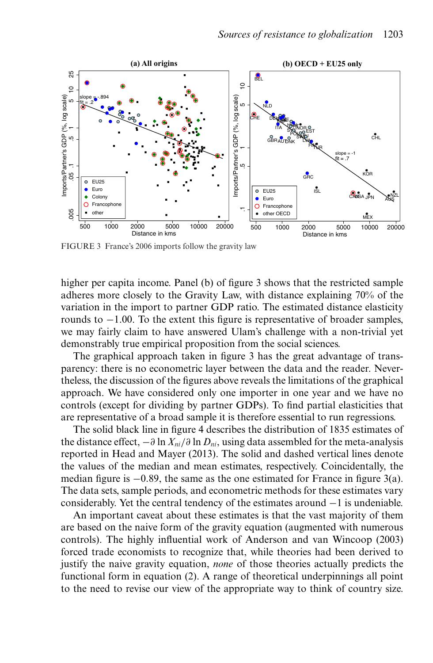

FIGURE 3 France's 2006 imports follow the gravity law

higher per capita income. Panel (b) of figure 3 shows that the restricted sample adheres more closely to the Gravity Law, with distance explaining 70% of the variation in the import to partner GDP ratio. The estimated distance elasticity rounds to  $-1.00$ . To the extent this figure is representative of broader samples, we may fairly claim to have answered Ulam's challenge with a non-trivial yet demonstrably true empirical proposition from the social sciences.

The graphical approach taken in figure 3 has the great advantage of transparency: there is no econometric layer between the data and the reader. Nevertheless, the discussion of the figures above reveals the limitations of the graphical approach. We have considered only one importer in one year and we have no controls (except for dividing by partner GDPs). To find partial elasticities that are representative of a broad sample it is therefore essential to run regressions.

The solid black line in figure 4 describes the distribution of 1835 estimates of the distance effect,  $-\partial \ln X_{ni}/\partial \ln D_{ni}$ , using data assembled for the meta-analysis reported in Head and Mayer (2013). The solid and dashed vertical lines denote the values of the median and mean estimates, respectively. Coincidentally, the median figure is −0.89, the same as the one estimated for France in figure 3(a). The data sets, sample periods, and econometric methods for these estimates vary considerably. Yet the central tendency of the estimates around  $-1$  is undeniable.

An important caveat about these estimates is that the vast majority of them are based on the naive form of the gravity equation (augmented with numerous controls). The highly influential work of Anderson and van Wincoop (2003) forced trade economists to recognize that, while theories had been derived to justify the naive gravity equation, *none* of those theories actually predicts the functional form in equation (2). A range of theoretical underpinnings all point to the need to revise our view of the appropriate way to think of country size.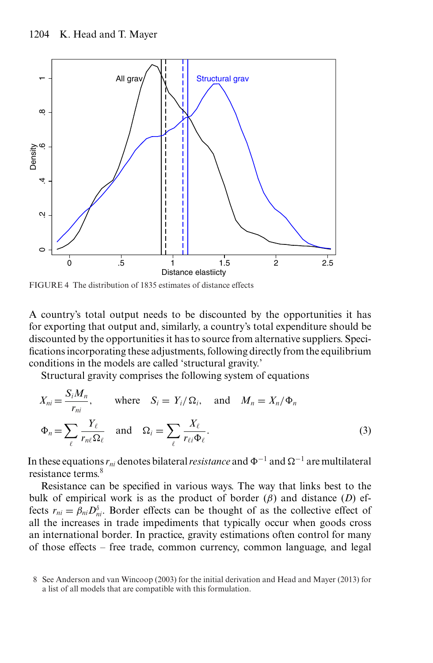

FIGURE 4 The distribution of 1835 estimates of distance effects

A country's total output needs to be discounted by the opportunities it has for exporting that output and, similarly, a country's total expenditure should be discounted by the opportunities it has to source from alternative suppliers. Specifications incorporating these adjustments, following directly from the equilibrium conditions in the models are called 'structural gravity.'

Structural gravity comprises the following system of equations

$$
X_{ni} = \frac{S_i M_n}{r_{ni}}, \quad \text{where} \quad S_i = Y_i / \Omega_i, \quad \text{and} \quad M_n = X_n / \Phi_n
$$

$$
\Phi_n = \sum_{\ell} \frac{Y_{\ell}}{r_{n\ell} \Omega_{\ell}} \quad \text{and} \quad \Omega_i = \sum_{\ell} \frac{X_{\ell}}{r_{\ell i} \Phi_{\ell}}.
$$
(3)

In these equations  $r_{ni}$  denotes bilateral *resistance* and  $\Phi^{-1}$  and  $\Omega^{-1}$  are multilateral resistance terms.<sup>8</sup>

Resistance can be specified in various ways. The way that links best to the bulk of empirical work is as the product of border  $(\beta)$  and distance  $(D)$  effects  $r_{ni} = \beta_{ni} D_{ni}^{\delta}$ . Border effects can be thought of as the collective effect of all the increases in trade impediments that typically occur when goods cross an international border. In practice, gravity estimations often control for many of those effects – free trade, common currency, common language, and legal

<sup>8</sup> See Anderson and van Wincoop (2003) for the initial derivation and Head and Mayer (2013) for a list of all models that are compatible with this formulation.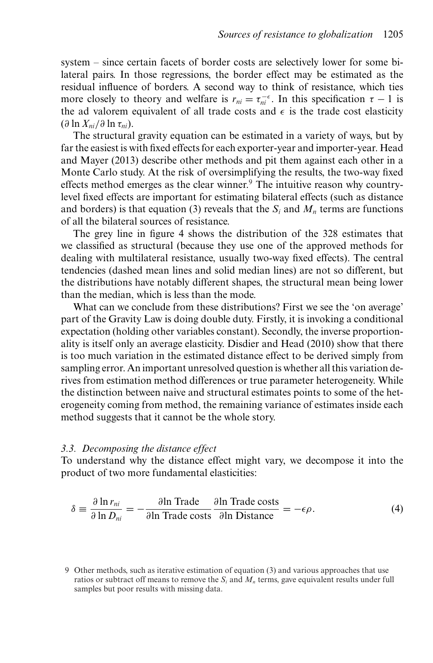system – since certain facets of border costs are selectively lower for some bilateral pairs. In those regressions, the border effect may be estimated as the residual influence of borders. A second way to think of resistance, which ties more closely to theory and welfare is  $r_{ni} = \tau_{ni}^{-\epsilon}$ . In this specification  $\tau - 1$  is the ad valorem equivalent of all trade costs and  $\epsilon$  is the trade cost elasticity (∂ ln *Xni*/∂ ln τ*ni*).

The structural gravity equation can be estimated in a variety of ways, but by far the easiest is with fixed effects for each exporter-year and importer-year. Head and Mayer (2013) describe other methods and pit them against each other in a Monte Carlo study. At the risk of oversimplifying the results, the two-way fixed effects method emerges as the clear winner.<sup>9</sup> The intuitive reason why countrylevel fixed effects are important for estimating bilateral effects (such as distance and borders) is that equation (3) reveals that the  $S_i$  and  $M_n$  terms are functions of all the bilateral sources of resistance.

The grey line in figure 4 shows the distribution of the 328 estimates that we classified as structural (because they use one of the approved methods for dealing with multilateral resistance, usually two-way fixed effects). The central tendencies (dashed mean lines and solid median lines) are not so different, but the distributions have notably different shapes, the structural mean being lower than the median, which is less than the mode.

What can we conclude from these distributions? First we see the 'on average' part of the Gravity Law is doing double duty. Firstly, it is invoking a conditional expectation (holding other variables constant). Secondly, the inverse proportionality is itself only an average elasticity. Disdier and Head (2010) show that there is too much variation in the estimated distance effect to be derived simply from sampling error. An important unresolved question is whether all this variation derives from estimation method differences or true parameter heterogeneity. While the distinction between naive and structural estimates points to some of the heterogeneity coming from method, the remaining variance of estimates inside each method suggests that it cannot be the whole story.

#### *3.3. Decomposing the distance effect*

To understand why the distance effect might vary, we decompose it into the product of two more fundamental elasticities:

$$
\delta \equiv \frac{\partial \ln r_{ni}}{\partial \ln D_{ni}} = -\frac{\partial \ln \text{Trade}}{\partial \ln \text{Trade costs}} \frac{\partial \ln \text{Trade costs}}{\partial \ln \text{Distance}} = -\epsilon \rho.
$$
 (4)

<sup>9</sup> Other methods, such as iterative estimation of equation (3) and various approaches that use ratios or subtract off means to remove the  $S_i$  and  $M_n$  terms, gave equivalent results under full samples but poor results with missing data.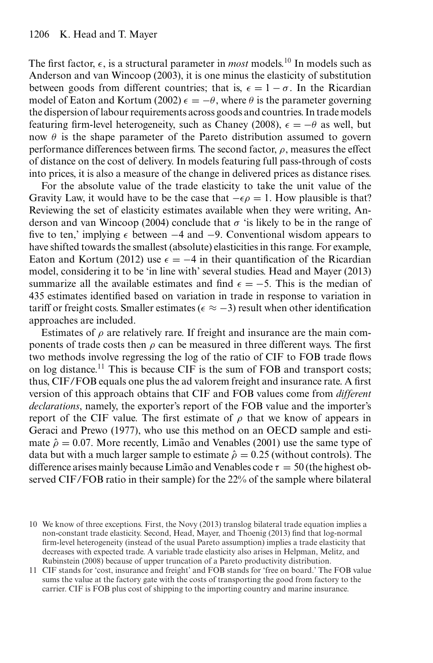The first factor,  $\epsilon$ , is a structural parameter in *most* models.<sup>10</sup> In models such as Anderson and van Wincoop (2003), it is one minus the elasticity of substitution between goods from different countries; that is,  $\epsilon = 1 - \sigma$ . In the Ricardian model of Eaton and Kortum (2002)  $\epsilon = -\theta$ , where  $\theta$  is the parameter governing the dispersion of labour requirements across goods and countries. In trade models featuring firm-level heterogeneity, such as Chaney (2008),  $\epsilon = -\theta$  as well, but now  $\theta$  is the shape parameter of the Pareto distribution assumed to govern performance differences between firms. The second factor,  $\rho$ , measures the effect of distance on the cost of delivery. In models featuring full pass-through of costs into prices, it is also a measure of the change in delivered prices as distance rises.

For the absolute value of the trade elasticity to take the unit value of the Gravity Law, it would have to be the case that  $-\epsilon \rho = 1$ . How plausible is that? Reviewing the set of elasticity estimates available when they were writing, Anderson and van Wincoop (2004) conclude that  $\sigma$  'is likely to be in the range of five to ten,' implying  $\epsilon$  between −4 and −9. Conventional wisdom appears to have shifted towards the smallest (absolute) elasticities in this range. For example, Eaton and Kortum (2012) use  $\epsilon = -4$  in their quantification of the Ricardian model, considering it to be 'in line with' several studies. Head and Mayer (2013) summarize all the available estimates and find  $\epsilon = -5$ . This is the median of 435 estimates identified based on variation in trade in response to variation in tariff or freight costs. Smaller estimates ( $\epsilon \approx -3$ ) result when other identification approaches are included.

Estimates of  $\rho$  are relatively rare. If freight and insurance are the main components of trade costs then  $\rho$  can be measured in three different ways. The first two methods involve regressing the log of the ratio of CIF to FOB trade flows on log distance.<sup>11</sup> This is because CIF is the sum of FOB and transport costs; thus, CIF/FOB equals one plus the ad valorem freight and insurance rate. A first version of this approach obtains that CIF and FOB values come from *different declarations*, namely, the exporter's report of the FOB value and the importer's report of the CIF value. The first estimate of  $\rho$  that we know of appears in Geraci and Prewo (1977), who use this method on an OECD sample and estimate  $\hat{\rho} = 0.07$ . More recently, Limão and Venables (2001) use the same type of data but with a much larger sample to estimate  $\hat{\rho} = 0.25$  (without controls). The difference arises mainly because Limão and Venables code  $\tau = 50$  (the highest observed CIF/FOB ratio in their sample) for the 22% of the sample where bilateral

11 CIF stands for 'cost, insurance and freight' and FOB stands for 'free on board.' The FOB value sums the value at the factory gate with the costs of transporting the good from factory to the carrier. CIF is FOB plus cost of shipping to the importing country and marine insurance.

<sup>10</sup> We know of three exceptions. First, the Novy (2013) translog bilateral trade equation implies a non-constant trade elasticity. Second, Head, Mayer, and Thoenig (2013) find that log-normal firm-level heterogeneity (instead of the usual Pareto assumption) implies a trade elasticity that decreases with expected trade. A variable trade elasticity also arises in Helpman, Melitz, and Rubinstein (2008) because of upper truncation of a Pareto productivity distribution.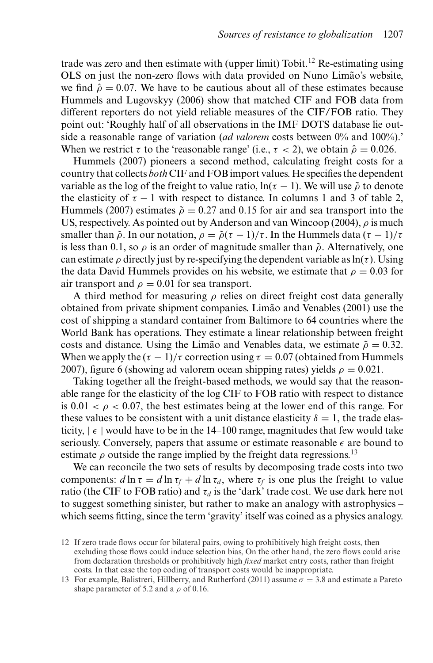trade was zero and then estimate with (upper limit) Tobit.<sup>12</sup> Re-estimating using OLS on just the non-zero flows with data provided on Nuno Limão's website, we find  $\hat{\rho} = 0.07$ . We have to be cautious about all of these estimates because Hummels and Lugovskyy (2006) show that matched CIF and FOB data from different reporters do not yield reliable measures of the CIF/FOB ratio. They point out: 'Roughly half of all observations in the IMF DOTS database lie outside a reasonable range of variation (*ad valorem* costs between 0% and 100%).' When we restrict  $\tau$  to the 'reasonable range' (i.e.,  $\tau$  < 2), we obtain  $\hat{\rho} = 0.026$ .

Hummels (2007) pioneers a second method, calculating freight costs for a country that collects *both* CIF and FOB import values. He specifies the dependent variable as the log of the freight to value ratio,  $ln(\tau - 1)$ . We will use  $\tilde{\rho}$  to denote the elasticity of  $\tau - 1$  with respect to distance. In columns 1 and 3 of table 2, Hummels (2007) estimates  $\tilde{\rho} = 0.27$  and 0.15 for air and sea transport into the US, respectively. As pointed out by Anderson and van Wincoop (2004),  $\rho$  is much smaller than  $\tilde{\rho}$ . In our notation,  $\rho = \tilde{\rho}(\tau - 1)/\tau$ . In the Hummels data  $(\tau - 1)/\tau$ is less than 0.1, so  $\rho$  is an order of magnitude smaller than  $\tilde{\rho}$ . Alternatively, one can estimate  $\rho$  directly just by re-specifying the dependent variable as  $\ln(\tau)$ . Using the data David Hummels provides on his website, we estimate that  $\rho = 0.03$  for air transport and  $\rho = 0.01$  for sea transport.

A third method for measuring  $\rho$  relies on direct freight cost data generally obtained from private shipment companies. Limão and Venables  $(2001)$  use the cost of shipping a standard container from Baltimore to 64 countries where the World Bank has operations. They estimate a linear relationship between freight costs and distance. Using the Limão and Venables data, we estimate  $\tilde{\rho} = 0.32$ . When we apply the  $(\tau - 1)/\tau$  correction using  $\tau = 0.07$  (obtained from Hummels 2007), figure 6 (showing ad valorem ocean shipping rates) yields  $\rho = 0.021$ .

Taking together all the freight-based methods, we would say that the reasonable range for the elasticity of the log CIF to FOB ratio with respect to distance is  $0.01 < \rho < 0.07$ , the best estimates being at the lower end of this range. For these values to be consistent with a unit distance elasticity  $\delta = 1$ , the trade elasticity,  $\epsilon$  | would have to be in the 14–100 range, magnitudes that few would take seriously. Conversely, papers that assume or estimate reasonable  $\epsilon$  are bound to estimate  $\rho$  outside the range implied by the freight data regressions.<sup>13</sup>

We can reconcile the two sets of results by decomposing trade costs into two components:  $d \ln \tau = d \ln \tau_f + d \ln \tau_d$ , where  $\tau_f$  is one plus the freight to value ratio (the CIF to FOB ratio) and  $\tau_d$  is the 'dark' trade cost. We use dark here not to suggest something sinister, but rather to make an analogy with astrophysics – which seems fitting, since the term 'gravity' itself was coined as a physics analogy.

<sup>12</sup> If zero trade flows occur for bilateral pairs, owing to prohibitively high freight costs, then excluding those flows could induce selection bias, On the other hand, the zero flows could arise from declaration thresholds or prohibitively high *fixed* market entry costs, rather than freight costs. In that case the top coding of transport costs would be inappropriate.

<sup>13</sup> For example, Balistreri, Hillberry, and Rutherford (2011) assume  $\sigma = 3.8$  and estimate a Pareto shape parameter of 5.2 and a  $\rho$  of 0.16.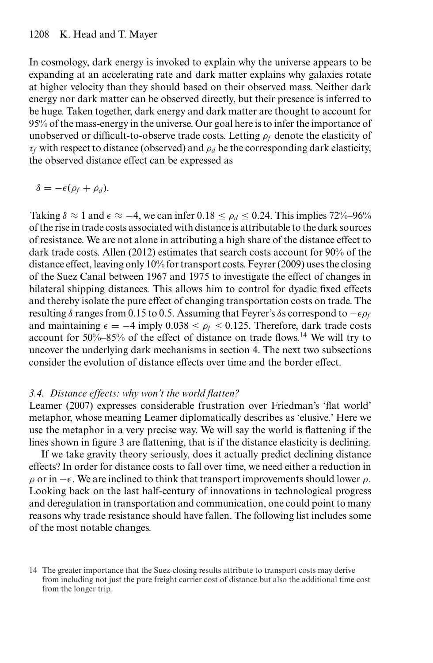In cosmology, dark energy is invoked to explain why the universe appears to be expanding at an accelerating rate and dark matter explains why galaxies rotate at higher velocity than they should based on their observed mass. Neither dark energy nor dark matter can be observed directly, but their presence is inferred to be huge. Taken together, dark energy and dark matter are thought to account for 95% of the mass-energy in the universe. Our goal here is to infer the importance of unobserved or difficult-to-observe trade costs. Letting ρ*<sup>f</sup>* denote the elasticity of  $\tau_f$  with respect to distance (observed) and  $\rho_d$  be the corresponding dark elasticity, the observed distance effect can be expressed as

$$
\delta=-\epsilon(\rho_f+\rho_d).
$$

Taking  $\delta \approx 1$  and  $\epsilon \approx -4$ , we can infer  $0.18 \le \rho_d \le 0.24$ . This implies 72%–96% of the rise in trade costs associated with distance is attributable to the dark sources of resistance. We are not alone in attributing a high share of the distance effect to dark trade costs. Allen (2012) estimates that search costs account for 90% of the distance effect, leaving only 10% for transport costs. Feyrer (2009) uses the closing of the Suez Canal between 1967 and 1975 to investigate the effect of changes in bilateral shipping distances. This allows him to control for dyadic fixed effects and thereby isolate the pure effect of changing transportation costs on trade. The resulting  $\delta$  ranges from 0.15 to 0.5. Assuming that Feyrer's  $\delta$ s correspond to  $-\epsilon \rho_f$ and maintaining  $\epsilon = -4$  imply  $0.038 \le \rho_f \le 0.125$ . Therefore, dark trade costs account for  $50\% - 85\%$  of the effect of distance on trade flows.<sup>14</sup> We will try to uncover the underlying dark mechanisms in section 4. The next two subsections consider the evolution of distance effects over time and the border effect.

#### *3.4. Distance effects: why won't the world flatten?*

Leamer (2007) expresses considerable frustration over Friedman's 'flat world' metaphor, whose meaning Leamer diplomatically describes as 'elusive.' Here we use the metaphor in a very precise way. We will say the world is flattening if the lines shown in figure 3 are flattening, that is if the distance elasticity is declining.

If we take gravity theory seriously, does it actually predict declining distance effects? In order for distance costs to fall over time, we need either a reduction in  $\rho$  or in  $-\epsilon$ . We are inclined to think that transport improvements should lower  $\rho$ . Looking back on the last half-century of innovations in technological progress and deregulation in transportation and communication, one could point to many reasons why trade resistance should have fallen. The following list includes some of the most notable changes.

<sup>14</sup> The greater importance that the Suez-closing results attribute to transport costs may derive from including not just the pure freight carrier cost of distance but also the additional time cost from the longer trip.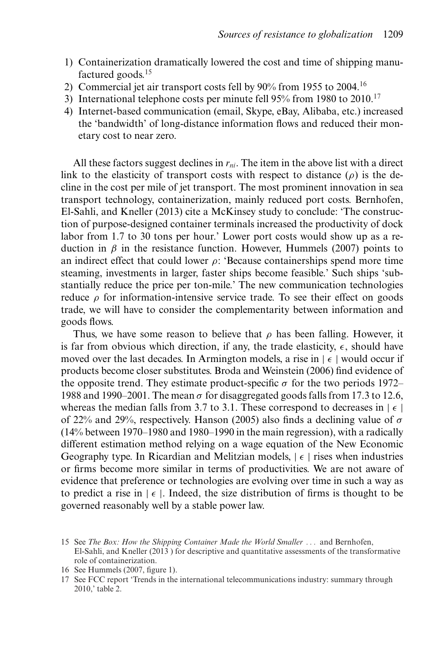- 1) Containerization dramatically lowered the cost and time of shipping manufactured goods.<sup>15</sup>
- 2) Commercial jet air transport costs fell by  $90\%$  from 1955 to 2004.<sup>16</sup>
- 3) International telephone costs per minute fell 95% from 1980 to  $2010$ .<sup>17</sup>
- 4) Internet-based communication (email, Skype, eBay, Alibaba, etc.) increased the 'bandwidth' of long-distance information flows and reduced their monetary cost to near zero.

All these factors suggest declines in  $r_{ni}$ . The item in the above list with a direct link to the elasticity of transport costs with respect to distance  $(\rho)$  is the decline in the cost per mile of jet transport. The most prominent innovation in sea transport technology, containerization, mainly reduced port costs. Bernhofen, El-Sahli, and Kneller (2013) cite a McKinsey study to conclude: 'The construction of purpose-designed container terminals increased the productivity of dock labor from 1.7 to 30 tons per hour.' Lower port costs would show up as a reduction in  $\beta$  in the resistance function. However, Hummels (2007) points to an indirect effect that could lower  $\rho$ : 'Because containerships spend more time steaming, investments in larger, faster ships become feasible.' Such ships 'substantially reduce the price per ton-mile.' The new communication technologies reduce  $\rho$  for information-intensive service trade. To see their effect on goods trade, we will have to consider the complementarity between information and goods flows.

Thus, we have some reason to believe that  $\rho$  has been falling. However, it is far from obvious which direction, if any, the trade elasticity,  $\epsilon$ , should have moved over the last decades. In Armington models, a rise in  $\epsilon$  | would occur if products become closer substitutes. Broda and Weinstein (2006) find evidence of the opposite trend. They estimate product-specific  $\sigma$  for the two periods 1972– 1988 and 1990–2001. The mean  $\sigma$  for disaggregated goods falls from 17.3 to 12.6, whereas the median falls from 3.7 to 3.1. These correspond to decreases in  $\vert \epsilon \vert$ of 22% and 29%, respectively. Hanson (2005) also finds a declining value of  $\sigma$ (14% between 1970–1980 and 1980–1990 in the main regression), with a radically different estimation method relying on a wage equation of the New Economic Geography type. In Ricardian and Melitzian models,  $\epsilon$   $\epsilon$  rises when industries or firms become more similar in terms of productivities. We are not aware of evidence that preference or technologies are evolving over time in such a way as to predict a rise in  $\epsilon$ . Indeed, the size distribution of firms is thought to be governed reasonably well by a stable power law.

<sup>15</sup> See *The Box: How the Shipping Container Made the World Smaller . . .* and Bernhofen, El-Sahli, and Kneller (2013 ) for descriptive and quantitative assessments of the transformative role of containerization.

<sup>16</sup> See Hummels (2007, figure 1).

<sup>17</sup> See FCC report 'Trends in the international telecommunications industry: summary through 2010,' table 2.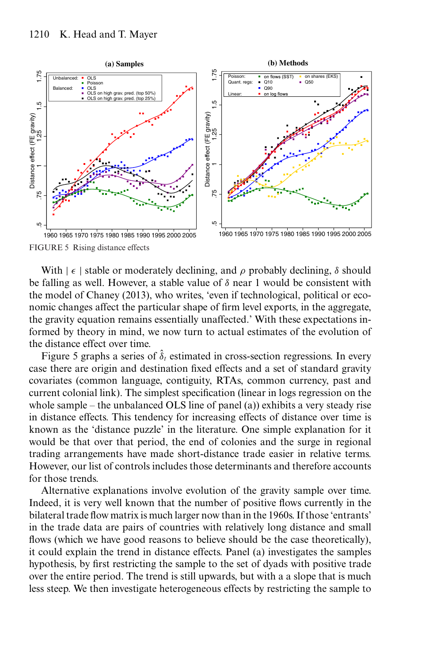

FIGURE 5 Rising distance effects

With  $|\epsilon|$  stable or moderately declining, and  $\rho$  probably declining,  $\delta$  should be falling as well. However, a stable value of  $\delta$  near 1 would be consistent with the model of Chaney (2013), who writes, 'even if technological, political or economic changes affect the particular shape of firm level exports, in the aggregate, the gravity equation remains essentially unaffected.' With these expectations informed by theory in mind, we now turn to actual estimates of the evolution of the distance effect over time.

Figure 5 graphs a series of  $\hat{\delta}_t$  estimated in cross-section regressions. In every case there are origin and destination fixed effects and a set of standard gravity covariates (common language, contiguity, RTAs, common currency, past and current colonial link). The simplest specification (linear in logs regression on the whole sample – the unbalanced OLS line of panel (a)) exhibits a very steady rise in distance effects. This tendency for increasing effects of distance over time is known as the 'distance puzzle' in the literature. One simple explanation for it would be that over that period, the end of colonies and the surge in regional trading arrangements have made short-distance trade easier in relative terms. However, our list of controls includes those determinants and therefore accounts for those trends.

Alternative explanations involve evolution of the gravity sample over time. Indeed, it is very well known that the number of positive flows currently in the bilateral trade flow matrix is much larger now than in the 1960s. If those 'entrants' in the trade data are pairs of countries with relatively long distance and small flows (which we have good reasons to believe should be the case theoretically), it could explain the trend in distance effects. Panel (a) investigates the samples hypothesis, by first restricting the sample to the set of dyads with positive trade over the entire period. The trend is still upwards, but with a a slope that is much less steep. We then investigate heterogeneous effects by restricting the sample to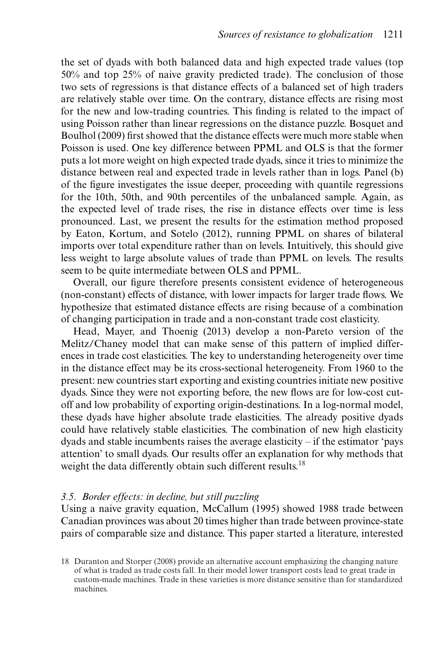the set of dyads with both balanced data and high expected trade values (top 50% and top 25% of naive gravity predicted trade). The conclusion of those two sets of regressions is that distance effects of a balanced set of high traders are relatively stable over time. On the contrary, distance effects are rising most for the new and low-trading countries. This finding is related to the impact of using Poisson rather than linear regressions on the distance puzzle. Bosquet and Boulhol (2009) first showed that the distance effects were much more stable when Poisson is used. One key difference between PPML and OLS is that the former puts a lot more weight on high expected trade dyads, since it tries to minimize the distance between real and expected trade in levels rather than in logs. Panel (b) of the figure investigates the issue deeper, proceeding with quantile regressions for the 10th, 50th, and 90th percentiles of the unbalanced sample. Again, as the expected level of trade rises, the rise in distance effects over time is less pronounced. Last, we present the results for the estimation method proposed by Eaton, Kortum, and Sotelo (2012), running PPML on shares of bilateral imports over total expenditure rather than on levels. Intuitively, this should give less weight to large absolute values of trade than PPML on levels. The results seem to be quite intermediate between OLS and PPML.

Overall, our figure therefore presents consistent evidence of heterogeneous (non-constant) effects of distance, with lower impacts for larger trade flows. We hypothesize that estimated distance effects are rising because of a combination of changing participation in trade and a non-constant trade cost elasticity.

Head, Mayer, and Thoenig (2013) develop a non-Pareto version of the Melitz/Chaney model that can make sense of this pattern of implied differences in trade cost elasticities. The key to understanding heterogeneity over time in the distance effect may be its cross-sectional heterogeneity. From 1960 to the present: new countries start exporting and existing countries initiate new positive dyads. Since they were not exporting before, the new flows are for low-cost cutoff and low probability of exporting origin-destinations. In a log-normal model, these dyads have higher absolute trade elasticities. The already positive dyads could have relatively stable elasticities. The combination of new high elasticity dyads and stable incumbents raises the average elasticity – if the estimator 'pays attention' to small dyads. Our results offer an explanation for why methods that weight the data differently obtain such different results.<sup>18</sup>

#### *3.5. Border effects: in decline, but still puzzling*

Using a naive gravity equation, McCallum (1995) showed 1988 trade between Canadian provinces was about 20 times higher than trade between province-state pairs of comparable size and distance. This paper started a literature, interested

<sup>18</sup> Duranton and Storper (2008) provide an alternative account emphasizing the changing nature of what is traded as trade costs fall. In their model lower transport costs lead to great trade in custom-made machines. Trade in these varieties is more distance sensitive than for standardized machines.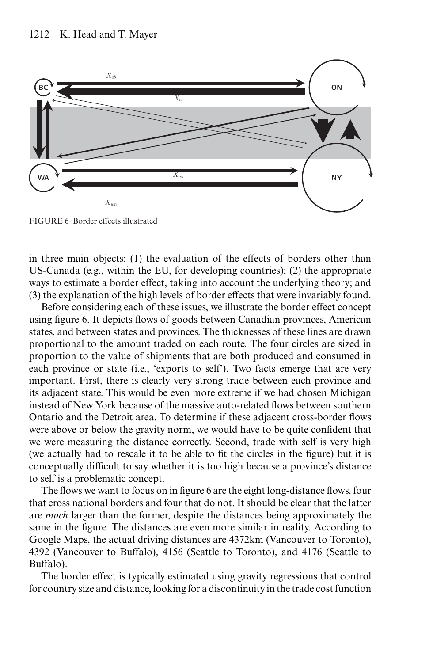

FIGURE 6 Border effects illustrated

in three main objects: (1) the evaluation of the effects of borders other than US-Canada (e.g., within the EU, for developing countries); (2) the appropriate ways to estimate a border effect, taking into account the underlying theory; and (3) the explanation of the high levels of border effects that were invariably found.

Before considering each of these issues, we illustrate the border effect concept using figure 6. It depicts flows of goods between Canadian provinces, American states, and between states and provinces. The thicknesses of these lines are drawn proportional to the amount traded on each route. The four circles are sized in proportion to the value of shipments that are both produced and consumed in each province or state (i.e., 'exports to self'). Two facts emerge that are very important. First, there is clearly very strong trade between each province and its adjacent state. This would be even more extreme if we had chosen Michigan instead of New York because of the massive auto-related flows between southern Ontario and the Detroit area. To determine if these adjacent cross-border flows were above or below the gravity norm, we would have to be quite confident that we were measuring the distance correctly. Second, trade with self is very high (we actually had to rescale it to be able to fit the circles in the figure) but it is conceptually difficult to say whether it is too high because a province's distance to self is a problematic concept.

The flows we want to focus on in figure 6 are the eight long-distance flows, four that cross national borders and four that do not. It should be clear that the latter are *much* larger than the former, despite the distances being approximately the same in the figure. The distances are even more similar in reality. According to Google Maps, the actual driving distances are 4372km (Vancouver to Toronto), 4392 (Vancouver to Buffalo), 4156 (Seattle to Toronto), and 4176 (Seattle to Buffalo).

The border effect is typically estimated using gravity regressions that control for country size and distance, looking for a discontinuity in the trade cost function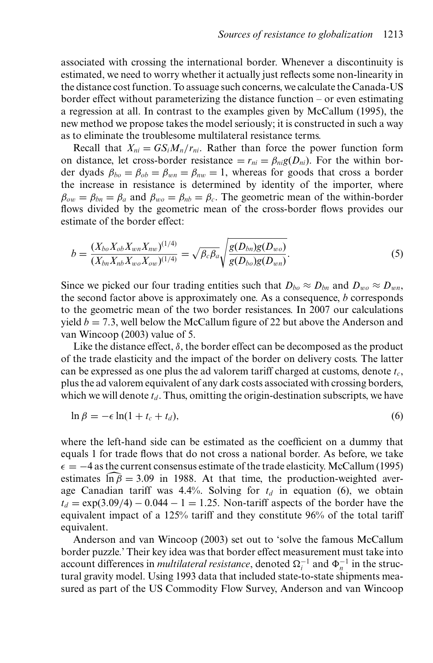associated with crossing the international border. Whenever a discontinuity is estimated, we need to worry whether it actually just reflects some non-linearity in the distance cost function. To assuage such concerns, we calculate the Canada-US border effect without parameterizing the distance function – or even estimating a regression at all. In contrast to the examples given by McCallum (1995), the new method we propose takes the model seriously; it is constructed in such a way as to eliminate the troublesome multilateral resistance terms.

Recall that  $X_{ni} = GS_i M_n / r_{ni}$ . Rather than force the power function form on distance, let cross-border resistance  $= r_{ni} = \beta_{ni}g(D_{ni})$ . For the within border dyads  $\beta_{bo} = \beta_{ob} = \beta_{wn} = \beta_{nw} = 1$ , whereas for goods that cross a border the increase in resistance is determined by identity of the importer, where  $\beta_{ow} = \beta_{bn} = \beta_a$  and  $\beta_{wo} = \beta_{nb} = \beta_c$ . The geometric mean of the within-border flows divided by the geometric mean of the cross-border flows provides our estimate of the border effect:

$$
b = \frac{(X_{bo}X_{ob}X_{wn}X_{nw})^{(1/4)}}{(X_{bn}X_{nb}X_{wo}X_{ow})^{(1/4)}} = \sqrt{\beta_c \beta_a} \sqrt{\frac{g(D_{bn})g(D_{wo})}{g(D_{bo})g(D_{wn})}}.
$$
 (5)

Since we picked our four trading entities such that  $D_{bo} \approx D_{bn}$  and  $D_{wo} \approx D_{wn}$ , the second factor above is approximately one. As a consequence, *b* corresponds to the geometric mean of the two border resistances. In 2007 our calculations yield  $b = 7.3$ , well below the McCallum figure of 22 but above the Anderson and van Wincoop (2003) value of 5.

Like the distance effect,  $\delta$ , the border effect can be decomposed as the product of the trade elasticity and the impact of the border on delivery costs. The latter can be expressed as one plus the ad valorem tariff charged at customs, denote  $t_c$ , plus the ad valorem equivalent of any dark costs associated with crossing borders, which we will denote  $t_d$ . Thus, omitting the origin-destination subscripts, we have

$$
\ln \beta = -\epsilon \ln(1 + t_c + t_d),\tag{6}
$$

where the left-hand side can be estimated as the coefficient on a dummy that equals 1 for trade flows that do not cross a national border. As before, we take  $\epsilon = -4$  as the current consensus estimate of the trade elasticity. McCallum (1995) estimates  $\ln \bar{\beta} = 3.09$  in 1988. At that time, the production-weighted average Canadian tariff was  $4.4\%$ . Solving for  $t_d$  in equation (6), we obtain  $t_d = \exp(3.09/4) - 0.044 - 1 = 1.25$ . Non-tariff aspects of the border have the equivalent impact of a 125% tariff and they constitute 96% of the total tariff equivalent.

Anderson and van Wincoop (2003) set out to 'solve the famous McCallum border puzzle.' Their key idea was that border effect measurement must take into account differences in *multilateral resistance*, denoted  $\Omega_i^{-1}$  and  $\Phi_n^{-1}$  in the structural gravity model. Using 1993 data that included state-to-state shipments measured as part of the US Commodity Flow Survey, Anderson and van Wincoop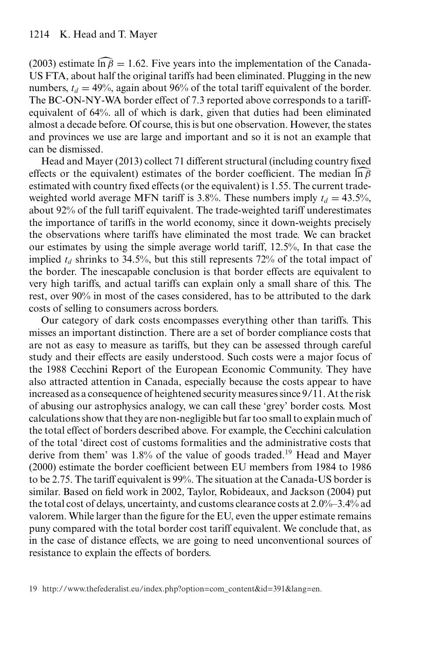(2003) estimate  $\ln \beta = 1.62$ . Five years into the implementation of the Canada-US FTA, about half the original tariffs had been eliminated. Plugging in the new numbers,  $t_d = 49\%$ , again about 96% of the total tariff equivalent of the border. The BC-ON-NY-WA border effect of 7.3 reported above corresponds to a tariffequivalent of 64%. all of which is dark, given that duties had been eliminated almost a decade before. Of course, this is but one observation. However, the states and provinces we use are large and important and so it is not an example that can be dismissed.

Head and Mayer (2013) collect 71 different structural (including country fixed effects or the equivalent) estimates of the border coefficient. The median  $\ln \beta$ estimated with country fixed effects (or the equivalent) is 1.55. The current tradeweighted world average MFN tariff is 3.8%. These numbers imply  $t_d = 43.5\%$ , about 92% of the full tariff equivalent. The trade-weighted tariff underestimates the importance of tariffs in the world economy, since it down-weights precisely the observations where tariffs have eliminated the most trade. We can bracket our estimates by using the simple average world tariff, 12.5%, In that case the implied  $t_d$  shrinks to 34.5%, but this still represents 72% of the total impact of the border. The inescapable conclusion is that border effects are equivalent to very high tariffs, and actual tariffs can explain only a small share of this. The rest, over 90% in most of the cases considered, has to be attributed to the dark costs of selling to consumers across borders.

Our category of dark costs encompasses everything other than tariffs. This misses an important distinction. There are a set of border compliance costs that are not as easy to measure as tariffs, but they can be assessed through careful study and their effects are easily understood. Such costs were a major focus of the 1988 Cecchini Report of the European Economic Community. They have also attracted attention in Canada, especially because the costs appear to have increased as a consequence of heightened security measures since 9/11. At the risk of abusing our astrophysics analogy, we can call these 'grey' border costs. Most calculations show that they are non-negligible but far too small to explain much of the total effect of borders described above. For example, the Cecchini calculation of the total 'direct cost of customs formalities and the administrative costs that derive from them' was  $1.8\%$  of the value of goods traded.<sup>19</sup> Head and Mayer (2000) estimate the border coefficient between EU members from 1984 to 1986 to be 2.75. The tariff equivalent is 99%. The situation at the Canada-US border is similar. Based on field work in 2002, Taylor, Robideaux, and Jackson (2004) put the total cost of delays, uncertainty, and customs clearance costs at 2.0%–3.4% ad valorem. While larger than the figure for the EU, even the upper estimate remains puny compared with the total border cost tariff equivalent. We conclude that, as in the case of distance effects, we are going to need unconventional sources of resistance to explain the effects of borders.

<sup>19</sup> [http://www.thefederalist.eu/index.php?option=com\\_content&id=391&lang=en.](http://www.thefederalist.eu/index.php?option=com_contentegingroup count@ "00026
elax 
elax uccode `~count@ uppercase {gdef 5{${sim }{}$}}endgroup setbox 	hr@@ hbox {5}dimen z@ wd 	hr@@ 5id=391egingroup count@ "00026
elax 
elax uccode `~count@ uppercase {gdef 5{${sim }{}$}}endgroup setbox 	hr@@ hbox {5}dimen z@ wd 	hr@@ 5lang=en)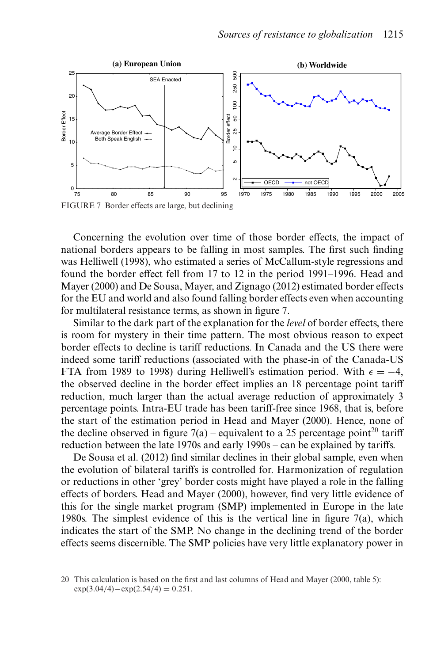

Concerning the evolution over time of those border effects, the impact of national borders appears to be falling in most samples. The first such finding was Helliwell (1998), who estimated a series of McCallum-style regressions and found the border effect fell from 17 to 12 in the period 1991–1996. Head and Mayer (2000) and De Sousa, Mayer, and Zignago (2012) estimated border effects for the EU and world and also found falling border effects even when accounting for multilateral resistance terms, as shown in figure 7.

Similar to the dark part of the explanation for the *level* of border effects, there is room for mystery in their time pattern. The most obvious reason to expect border effects to decline is tariff reductions. In Canada and the US there were indeed some tariff reductions (associated with the phase-in of the Canada-US FTA from 1989 to 1998) during Helliwell's estimation period. With  $\epsilon = -4$ , the observed decline in the border effect implies an 18 percentage point tariff reduction, much larger than the actual average reduction of approximately 3 percentage points. Intra-EU trade has been tariff-free since 1968, that is, before the start of the estimation period in Head and Mayer (2000). Hence, none of the decline observed in figure  $7(a)$  – equivalent to a 25 percentage point<sup>20</sup> tariff reduction between the late 1970s and early 1990s – can be explained by tariffs.

De Sousa et al. (2012) find similar declines in their global sample, even when the evolution of bilateral tariffs is controlled for. Harmonization of regulation or reductions in other 'grey' border costs might have played a role in the falling effects of borders. Head and Mayer (2000), however, find very little evidence of this for the single market program (SMP) implemented in Europe in the late 1980s. The simplest evidence of this is the vertical line in figure  $7(a)$ , which indicates the start of the SMP. No change in the declining trend of the border effects seems discernible. The SMP policies have very little explanatory power in

<sup>20</sup> This calculation is based on the first and last columns of Head and Mayer (2000, table 5):  $exp(3.04/4) - exp(2.54/4) = 0.251$ .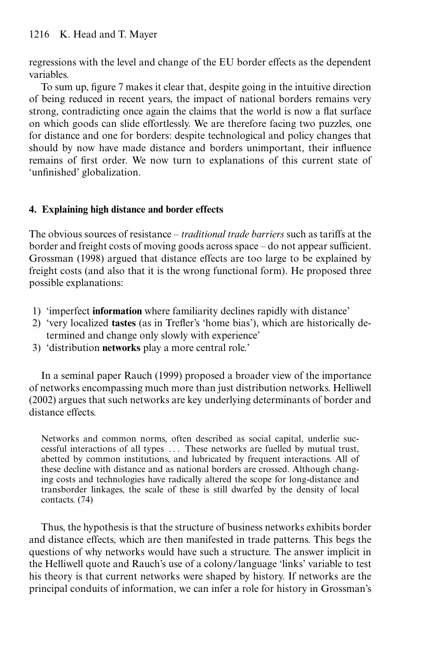#### 1216 K. Head and T. Mayer

regressions with the level and change of the EU border effects as the dependent variables.

To sum up, figure 7 makes it clear that, despite going in the intuitive direction of being reduced in recent years, the impact of national borders remains very strong, contradicting once again the claims that the world is now a flat surface on which goods can slide effortlessly. We are therefore facing two puzzles, one for distance and one for borders: despite technological and policy changes that should by now have made distance and borders unimportant, their influence remains of first order. We now turn to explanations of this current state of 'unfinished' globalization.

#### **4. Explaining high distance and border effects**

The obvious sources of resistance – *traditional trade barriers* such as tariffs at the border and freight costs of moving goods across space – do not appear sufficient. Grossman (1998) argued that distance effects are too large to be explained by freight costs (and also that it is the wrong functional form). He proposed three possible explanations:

- 1) 'imperfect **information** where familiarity declines rapidly with distance'
- 2) 'very localized **tastes** (as in Trefler's 'home bias'), which are historically determined and change only slowly with experience'
- 3) 'distribution **networks** play a more central role.'

In a seminal paper Rauch (1999) proposed a broader view of the importance of networks encompassing much more than just distribution networks. Helliwell (2002) argues that such networks are key underlying determinants of border and distance effects.

Networks and common norms, often described as social capital, underlie successful interactions of all types . . . These networks are fuelled by mutual trust, abetted by common institutions, and lubricated by frequent interactions. All of these decline with distance and as national borders are crossed. Although changing costs and technologies have radically altered the scope for long-distance and transborder linkages, the scale of these is still dwarfed by the density of local contacts. (74)

Thus, the hypothesis is that the structure of business networks exhibits border and distance effects, which are then manifested in trade patterns. This begs the questions of why networks would have such a structure. The answer implicit in the Helliwell quote and Rauch's use of a colony/language 'links' variable to test his theory is that current networks were shaped by history. If networks are the principal conduits of information, we can infer a role for history in Grossman's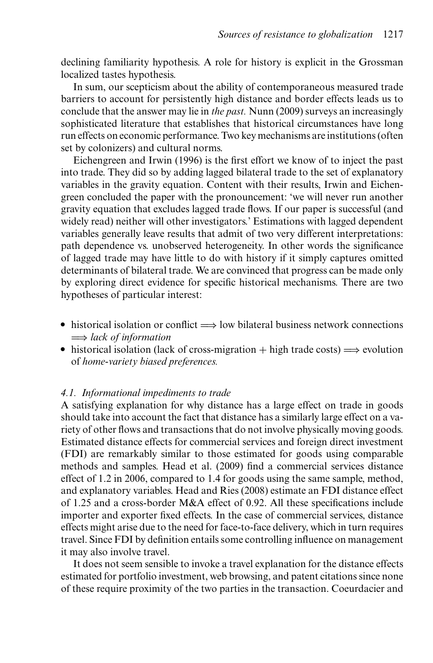declining familiarity hypothesis. A role for history is explicit in the Grossman localized tastes hypothesis.

In sum, our scepticism about the ability of contemporaneous measured trade barriers to account for persistently high distance and border effects leads us to conclude that the answer may lie in *the past.* Nunn (2009) surveys an increasingly sophisticated literature that establishes that historical circumstances have long run effects on economic performance. Two key mechanisms are institutions (often set by colonizers) and cultural norms.

Eichengreen and Irwin (1996) is the first effort we know of to inject the past into trade. They did so by adding lagged bilateral trade to the set of explanatory variables in the gravity equation. Content with their results, Irwin and Eichengreen concluded the paper with the pronouncement: 'we will never run another gravity equation that excludes lagged trade flows. If our paper is successful (and widely read) neither will other investigators.' Estimations with lagged dependent variables generally leave results that admit of two very different interpretations: path dependence vs. unobserved heterogeneity. In other words the significance of lagged trade may have little to do with history if it simply captures omitted determinants of bilateral trade. We are convinced that progress can be made only by exploring direct evidence for specific historical mechanisms. There are two hypotheses of particular interest:

- historical isolation or conflict =⇒ low bilateral business network connections
- ⇒ *lack of information*<br>
historical isolation (lack of cross-migration + high trade costs) ⇒ evolution of *home-variety biased preferences.*

#### *4.1. Informational impediments to trade*

A satisfying explanation for why distance has a large effect on trade in goods should take into account the fact that distance has a similarly large effect on a variety of other flows and transactions that do not involve physically moving goods. Estimated distance effects for commercial services and foreign direct investment (FDI) are remarkably similar to those estimated for goods using comparable methods and samples. Head et al. (2009) find a commercial services distance effect of 1.2 in 2006, compared to 1.4 for goods using the same sample, method, and explanatory variables. Head and Ries (2008) estimate an FDI distance effect of 1.25 and a cross-border M&A effect of 0.92. All these specifications include importer and exporter fixed effects. In the case of commercial services, distance effects might arise due to the need for face-to-face delivery, which in turn requires travel. Since FDI by definition entails some controlling influence on management it may also involve travel.

It does not seem sensible to invoke a travel explanation for the distance effects estimated for portfolio investment, web browsing, and patent citations since none of these require proximity of the two parties in the transaction. Coeurdacier and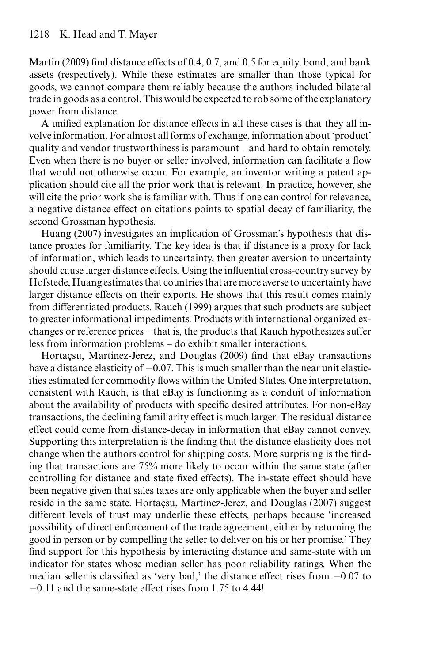Martin (2009) find distance effects of 0.4, 0.7, and 0.5 for equity, bond, and bank assets (respectively). While these estimates are smaller than those typical for goods, we cannot compare them reliably because the authors included bilateral trade in goods as a control. This would be expected to rob some of the explanatory power from distance.

A unified explanation for distance effects in all these cases is that they all involve information. For almost all forms of exchange, information about 'product' quality and vendor trustworthiness is paramount – and hard to obtain remotely. Even when there is no buyer or seller involved, information can facilitate a flow that would not otherwise occur. For example, an inventor writing a patent application should cite all the prior work that is relevant. In practice, however, she will cite the prior work she is familiar with. Thus if one can control for relevance, a negative distance effect on citations points to spatial decay of familiarity, the second Grossman hypothesis.

Huang (2007) investigates an implication of Grossman's hypothesis that distance proxies for familiarity. The key idea is that if distance is a proxy for lack of information, which leads to uncertainty, then greater aversion to uncertainty should cause larger distance effects. Using the influential cross-country survey by Hofstede, Huang estimates that countries that are more averse to uncertainty have larger distance effects on their exports. He shows that this result comes mainly from differentiated products. Rauch (1999) argues that such products are subject to greater informational impediments. Products with international organized exchanges or reference prices – that is, the products that Rauch hypothesizes suffer less from information problems – do exhibit smaller interactions.

Hortaçsu, Martinez-Jerez, and Douglas (2009) find that eBay transactions have a distance elasticity of −0.07. This is much smaller than the near unit elasticities estimated for commodity flows within the United States. One interpretation, consistent with Rauch, is that eBay is functioning as a conduit of information about the availability of products with specific desired attributes. For non-eBay transactions, the declining familiarity effect is much larger. The residual distance effect could come from distance-decay in information that eBay cannot convey. Supporting this interpretation is the finding that the distance elasticity does not change when the authors control for shipping costs. More surprising is the finding that transactions are 75% more likely to occur within the same state (after controlling for distance and state fixed effects). The in-state effect should have been negative given that sales taxes are only applicable when the buyer and seller reside in the same state. Hortacsu, Martinez-Jerez, and Douglas (2007) suggest different levels of trust may underlie these effects, perhaps because 'increased possibility of direct enforcement of the trade agreement, either by returning the good in person or by compelling the seller to deliver on his or her promise.' They find support for this hypothesis by interacting distance and same-state with an indicator for states whose median seller has poor reliability ratings. When the median seller is classified as 'very bad,' the distance effect rises from −0.07 to −0.11 and the same-state effect rises from 1.75 to 4.44!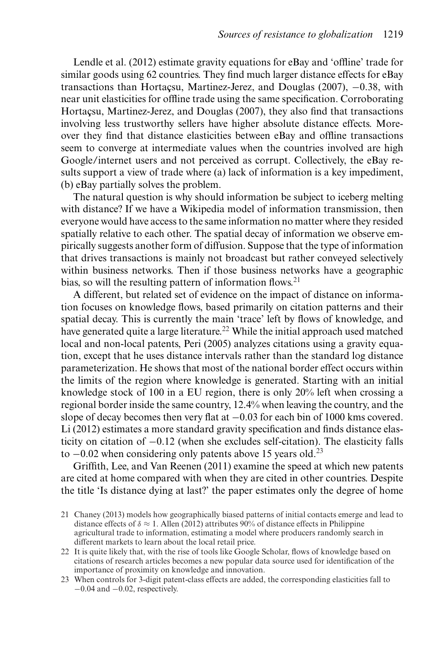Lendle et al. (2012) estimate gravity equations for eBay and 'offline' trade for similar goods using 62 countries. They find much larger distance effects for eBay transactions than Hortaçsu, Martinez-Jerez, and Douglas  $(2007)$ ,  $-0.38$ , with near unit elasticities for offline trade using the same specification. Corroborating Hortaçsu, Martinez-Jerez, and Douglas (2007), they also find that transactions involving less trustworthy sellers have higher absolute distance effects. Moreover they find that distance elasticities between eBay and offline transactions seem to converge at intermediate values when the countries involved are high Google/internet users and not perceived as corrupt. Collectively, the eBay results support a view of trade where (a) lack of information is a key impediment, (b) eBay partially solves the problem.

The natural question is why should information be subject to iceberg melting with distance? If we have a Wikipedia model of information transmission, then everyone would have access to the same information no matter where they resided spatially relative to each other. The spatial decay of information we observe empirically suggests another form of diffusion. Suppose that the type of information that drives transactions is mainly not broadcast but rather conveyed selectively within business networks. Then if those business networks have a geographic bias, so will the resulting pattern of information flows.<sup>21</sup>

A different, but related set of evidence on the impact of distance on information focuses on knowledge flows, based primarily on citation patterns and their spatial decay. This is currently the main 'trace' left by flows of knowledge, and have generated quite a large literature.<sup>22</sup> While the initial approach used matched local and non-local patents, Peri (2005) analyzes citations using a gravity equation, except that he uses distance intervals rather than the standard log distance parameterization. He shows that most of the national border effect occurs within the limits of the region where knowledge is generated. Starting with an initial knowledge stock of 100 in a EU region, there is only 20% left when crossing a regional border inside the same country, 12.4% when leaving the country, and the slope of decay becomes then very flat at  $-0.03$  for each bin of 1000 kms covered. Li (2012) estimates a more standard gravity specification and finds distance elasticity on citation of −0.12 (when she excludes self-citation). The elasticity falls to  $-0.02$  when considering only patents above 15 years old.<sup>23</sup>

Griffith, Lee, and Van Reenen (2011) examine the speed at which new patents are cited at home compared with when they are cited in other countries. Despite the title 'Is distance dying at last?' the paper estimates only the degree of home

<sup>21</sup> Chaney (2013) models how geographically biased patterns of initial contacts emerge and lead to distance effects of  $\delta \approx 1$ . Allen (2012) attributes 90% of distance effects in Philippine agricultural trade to information, estimating a model where producers randomly search in different markets to learn about the local retail price.

<sup>22</sup> It is quite likely that, with the rise of tools like Google Scholar, flows of knowledge based on citations of research articles becomes a new popular data source used for identification of the importance of proximity on knowledge and innovation.

<sup>23</sup> When controls for 3-digit patent-class effects are added, the corresponding elasticities fall to  $-0.04$  and  $-0.02$ , respectively.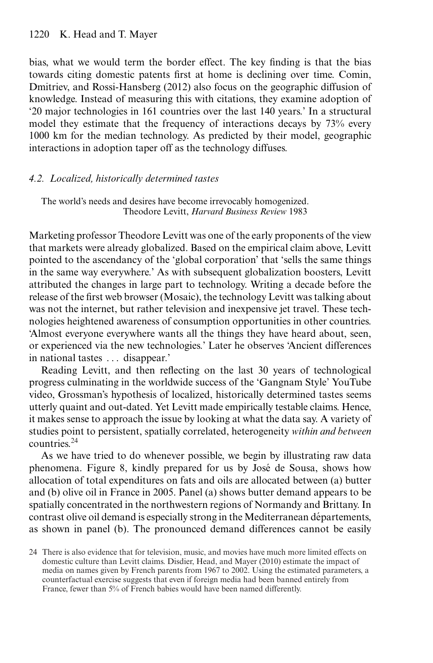#### 1220 K. Head and T. Mayer

bias, what we would term the border effect. The key finding is that the bias towards citing domestic patents first at home is declining over time. Comin, Dmitriev, and Rossi-Hansberg (2012) also focus on the geographic diffusion of knowledge. Instead of measuring this with citations, they examine adoption of '20 major technologies in 161 countries over the last 140 years.' In a structural model they estimate that the frequency of interactions decays by 73% every 1000 km for the median technology. As predicted by their model, geographic interactions in adoption taper off as the technology diffuses.

#### *4.2. Localized, historically determined tastes*

The world's needs and desires have become irrevocably homogenized. Theodore Levitt, *Harvard Business Review* 1983

Marketing professor Theodore Levitt was one of the early proponents of the view that markets were already globalized. Based on the empirical claim above, Levitt pointed to the ascendancy of the 'global corporation' that 'sells the same things in the same way everywhere.' As with subsequent globalization boosters, Levitt attributed the changes in large part to technology. Writing a decade before the release of the first web browser (Mosaic), the technology Levitt was talking about was not the internet, but rather television and inexpensive jet travel. These technologies heightened awareness of consumption opportunities in other countries. 'Almost everyone everywhere wants all the things they have heard about, seen, or experienced via the new technologies.' Later he observes 'Ancient differences in national tastes . . . disappear.'

Reading Levitt, and then reflecting on the last 30 years of technological progress culminating in the worldwide success of the 'Gangnam Style' YouTube video, Grossman's hypothesis of localized, historically determined tastes seems utterly quaint and out-dated. Yet Levitt made empirically testable claims. Hence, it makes sense to approach the issue by looking at what the data say. A variety of studies point to persistent, spatially correlated, heterogeneity *within and between* countries.<sup>24</sup>

As we have tried to do whenever possible, we begin by illustrating raw data phenomena. Figure 8, kindly prepared for us by Jose de Sousa, shows how ´ allocation of total expenditures on fats and oils are allocated between (a) butter and (b) olive oil in France in 2005. Panel (a) shows butter demand appears to be spatially concentrated in the northwestern regions of Normandy and Brittany. In contrast olive oil demand is especially strong in the Mediterranean départements, as shown in panel (b). The pronounced demand differences cannot be easily

<sup>24</sup> There is also evidence that for television, music, and movies have much more limited effects on domestic culture than Levitt claims. Disdier, Head, and Mayer (2010) estimate the impact of media on names given by French parents from 1967 to 2002. Using the estimated parameters, a counterfactual exercise suggests that even if foreign media had been banned entirely from France, fewer than 5% of French babies would have been named differently.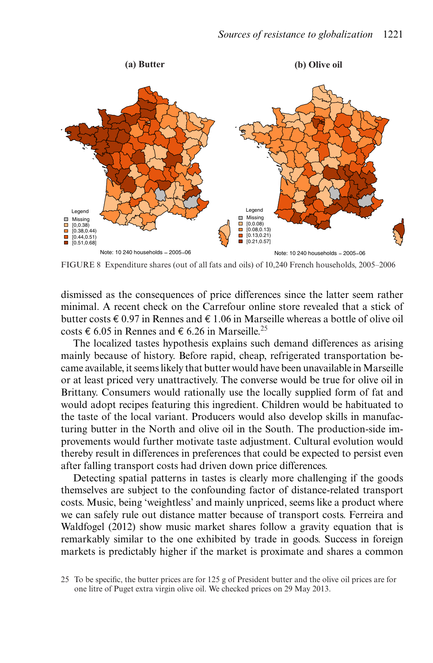

FIGURE 8 Expenditure shares (out of all fats and oils) of 10,240 French households, 2005–2006

dismissed as the consequences of price differences since the latter seem rather minimal. A recent check on the Carrefour online store revealed that a stick of butter costs  $\epsilon$  0.97 in Rennes and  $\epsilon$  1.06 in Marseille whereas a bottle of olive oil costs € 6.05 in Rennes and € 6.26 in Marseille.<sup>25</sup>

The localized tastes hypothesis explains such demand differences as arising mainly because of history. Before rapid, cheap, refrigerated transportation became available, it seems likely that butter would have been unavailable in Marseille or at least priced very unattractively. The converse would be true for olive oil in Brittany. Consumers would rationally use the locally supplied form of fat and would adopt recipes featuring this ingredient. Children would be habituated to the taste of the local variant. Producers would also develop skills in manufacturing butter in the North and olive oil in the South. The production-side improvements would further motivate taste adjustment. Cultural evolution would thereby result in differences in preferences that could be expected to persist even after falling transport costs had driven down price differences.

Detecting spatial patterns in tastes is clearly more challenging if the goods themselves are subject to the confounding factor of distance-related transport costs. Music, being 'weightless' and mainly unpriced, seems like a product where we can safely rule out distance matter because of transport costs. Ferreira and Waldfogel (2012) show music market shares follow a gravity equation that is remarkably similar to the one exhibited by trade in goods. Success in foreign markets is predictably higher if the market is proximate and shares a common

<sup>25</sup> To be specific, the butter prices are for 125 g of President butter and the olive oil prices are for one litre of Puget extra virgin olive oil. We checked prices on 29 May 2013.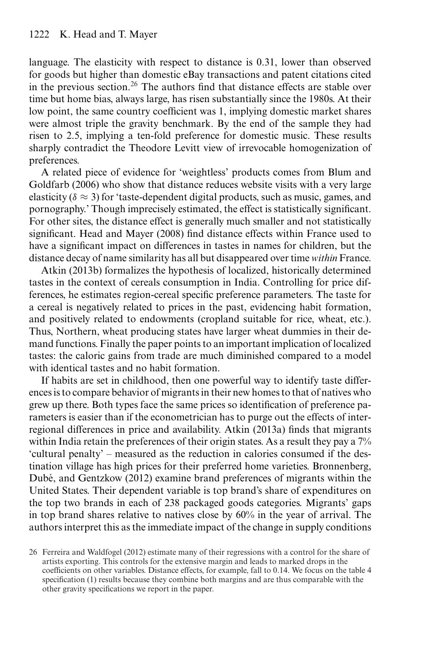language. The elasticity with respect to distance is 0.31, lower than observed for goods but higher than domestic eBay transactions and patent citations cited in the previous section.<sup>26</sup> The authors find that distance effects are stable over time but home bias, always large, has risen substantially since the 1980s. At their low point, the same country coefficient was 1, implying domestic market shares were almost triple the gravity benchmark. By the end of the sample they had risen to 2.5, implying a ten-fold preference for domestic music. These results sharply contradict the Theodore Levitt view of irrevocable homogenization of preferences.

A related piece of evidence for 'weightless' products comes from Blum and Goldfarb (2006) who show that distance reduces website visits with a very large elasticity ( $\delta \approx 3$ ) for 'taste-dependent digital products, such as music, games, and pornography.' Though imprecisely estimated, the effect is statistically significant. For other sites, the distance effect is generally much smaller and not statistically significant. Head and Mayer (2008) find distance effects within France used to have a significant impact on differences in tastes in names for children, but the distance decay of name similarity has all but disappeared over time *within* France.

Atkin (2013b) formalizes the hypothesis of localized, historically determined tastes in the context of cereals consumption in India. Controlling for price differences, he estimates region-cereal specific preference parameters. The taste for a cereal is negatively related to prices in the past, evidencing habit formation, and positively related to endowments (cropland suitable for rice, wheat, etc.). Thus, Northern, wheat producing states have larger wheat dummies in their demand functions. Finally the paper points to an important implication of localized tastes: the caloric gains from trade are much diminished compared to a model with identical tastes and no habit formation.

If habits are set in childhood, then one powerful way to identify taste differences is to compare behavior of migrants in their new homes to that of natives who grew up there. Both types face the same prices so identification of preference parameters is easier than if the econometrician has to purge out the effects of interregional differences in price and availability. Atkin (2013a) finds that migrants within India retain the preferences of their origin states. As a result they pay a 7% 'cultural penalty' – measured as the reduction in calories consumed if the destination village has high prices for their preferred home varieties. Bronnenberg, Dubé, and Gentzkow (2012) examine brand preferences of migrants within the United States. Their dependent variable is top brand's share of expenditures on the top two brands in each of 238 packaged goods categories. Migrants' gaps in top brand shares relative to natives close by 60% in the year of arrival. The authors interpret this as the immediate impact of the change in supply conditions

<sup>26</sup> Ferreira and Waldfogel (2012) estimate many of their regressions with a control for the share of artists exporting. This controls for the extensive margin and leads to marked drops in the coefficients on other variables. Distance effects, for example, fall to 0.14. We focus on the table 4 specification (1) results because they combine both margins and are thus comparable with the other gravity specifications we report in the paper.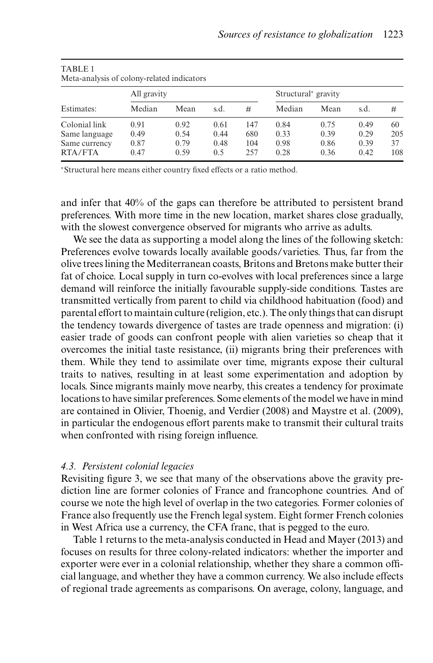| Meta-analysis of colony-related indicators |             |      |      |     |                                 |      |      |     |  |
|--------------------------------------------|-------------|------|------|-----|---------------------------------|------|------|-----|--|
| Estimates:                                 | All gravity |      |      |     | Structural <sup>*</sup> gravity |      |      |     |  |
|                                            | Median      | Mean | s.d. | #   | Median                          | Mean | s.d. | #   |  |
| Colonial link                              | 0.91        | 0.92 | 0.61 | 147 | 0.84                            | 0.75 | 0.49 | 60  |  |
| Same language                              | 0.49        | 0.54 | 0.44 | 680 | 0.33                            | 0.39 | 0.29 | 205 |  |
| Same currency                              | 0.87        | 0.79 | 0.48 | 104 | 0.98                            | 0.86 | 0.39 | 37  |  |
| RTA/FTA                                    | 0.47        | 0.59 | 0.5  | 257 | 0.28                            | 0.36 | 0.42 | 108 |  |

TABLE 1 Meta-analysis of colony-related indicators

<sup>∗</sup>Structural here means either country fixed effects or a ratio method.

and infer that 40% of the gaps can therefore be attributed to persistent brand preferences. With more time in the new location, market shares close gradually, with the slowest convergence observed for migrants who arrive as adults.

We see the data as supporting a model along the lines of the following sketch: Preferences evolve towards locally available goods/varieties. Thus, far from the olive trees lining the Mediterranean coasts, Britons and Bretons make butter their fat of choice. Local supply in turn co-evolves with local preferences since a large demand will reinforce the initially favourable supply-side conditions. Tastes are transmitted vertically from parent to child via childhood habituation (food) and parental effort to maintain culture (religion, etc.). The only things that can disrupt the tendency towards divergence of tastes are trade openness and migration: (i) easier trade of goods can confront people with alien varieties so cheap that it overcomes the initial taste resistance, (ii) migrants bring their preferences with them. While they tend to assimilate over time, migrants expose their cultural traits to natives, resulting in at least some experimentation and adoption by locals. Since migrants mainly move nearby, this creates a tendency for proximate locations to have similar preferences. Some elements of the model we have in mind are contained in Olivier, Thoenig, and Verdier (2008) and Maystre et al. (2009), in particular the endogenous effort parents make to transmit their cultural traits when confronted with rising foreign influence.

#### *4.3. Persistent colonial legacies*

Revisiting figure 3, we see that many of the observations above the gravity prediction line are former colonies of France and francophone countries. And of course we note the high level of overlap in the two categories. Former colonies of France also frequently use the French legal system. Eight former French colonies in West Africa use a currency, the CFA franc, that is pegged to the euro.

Table 1 returns to the meta-analysis conducted in Head and Mayer (2013) and focuses on results for three colony-related indicators: whether the importer and exporter were ever in a colonial relationship, whether they share a common official language, and whether they have a common currency. We also include effects of regional trade agreements as comparisons. On average, colony, language, and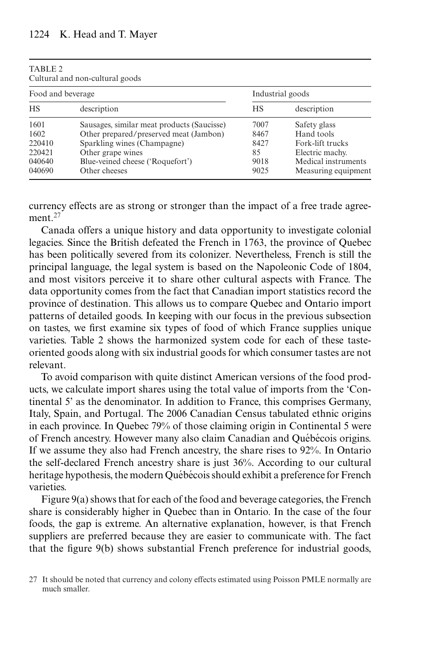| Cultural and non-cultural goods |                                            |                  |                     |  |  |  |  |
|---------------------------------|--------------------------------------------|------------------|---------------------|--|--|--|--|
| Food and beverage               |                                            | Industrial goods |                     |  |  |  |  |
| <b>HS</b>                       | description                                | HS               | description         |  |  |  |  |
| 1601                            | Sausages, similar meat products (Saucisse) | 7007             | Safety glass        |  |  |  |  |
| 1602                            | Other prepared/preserved meat (Jambon)     | 8467             | Hand tools          |  |  |  |  |
| 220410                          | Sparkling wines (Champagne)                | 8427             | Fork-lift trucks    |  |  |  |  |
| 220421                          | Other grape wines                          | 85               | Electric machy.     |  |  |  |  |
| 040640                          | Blue-veined cheese ('Roquefort')           | 9018             | Medical instruments |  |  |  |  |
| 040690                          | Other cheeses                              | 9025             | Measuring equipment |  |  |  |  |

TABLE 2

currency effects are as strong or stronger than the impact of a free trade agreement.<sup>27</sup>

Canada offers a unique history and data opportunity to investigate colonial legacies. Since the British defeated the French in 1763, the province of Quebec has been politically severed from its colonizer. Nevertheless, French is still the principal language, the legal system is based on the Napoleonic Code of 1804, and most visitors perceive it to share other cultural aspects with France. The data opportunity comes from the fact that Canadian import statistics record the province of destination. This allows us to compare Quebec and Ontario import patterns of detailed goods. In keeping with our focus in the previous subsection on tastes, we first examine six types of food of which France supplies unique varieties. Table 2 shows the harmonized system code for each of these tasteoriented goods along with six industrial goods for which consumer tastes are not relevant.

To avoid comparison with quite distinct American versions of the food products, we calculate import shares using the total value of imports from the 'Continental 5' as the denominator. In addition to France, this comprises Germany, Italy, Spain, and Portugal. The 2006 Canadian Census tabulated ethnic origins in each province. In Quebec 79% of those claiming origin in Continental 5 were of French ancestry. However many also claim Canadian and Québécois origins. If we assume they also had French ancestry, the share rises to 92%. In Ontario the self-declared French ancestry share is just 36%. According to our cultural heritage hypothesis, the modern Québécois should exhibit a preference for French varieties.

Figure 9(a) shows that for each of the food and beverage categories, the French share is considerably higher in Quebec than in Ontario. In the case of the four foods, the gap is extreme. An alternative explanation, however, is that French suppliers are preferred because they are easier to communicate with. The fact that the figure 9(b) shows substantial French preference for industrial goods,

<sup>27</sup> It should be noted that currency and colony effects estimated using Poisson PMLE normally are much smaller.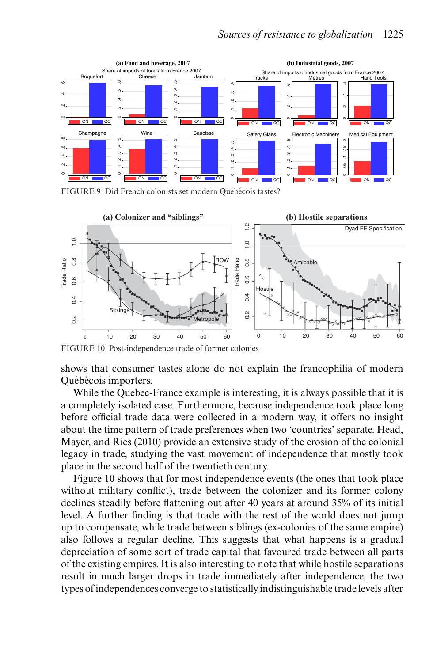

FIGURE 9 Did French colonists set modern Québécois tastes?

![](_page_30_Figure_3.jpeg)

FIGURE 10 Post-independence trade of former colonies

shows that consumer tastes alone do not explain the francophilia of modern Québécois importers.

While the Quebec-France example is interesting, it is always possible that it is a completely isolated case. Furthermore, because independence took place long before official trade data were collected in a modern way, it offers no insight about the time pattern of trade preferences when two 'countries' separate. Head, Mayer, and Ries (2010) provide an extensive study of the erosion of the colonial legacy in trade, studying the vast movement of independence that mostly took place in the second half of the twentieth century.

Figure 10 shows that for most independence events (the ones that took place without military conflict), trade between the colonizer and its former colony declines steadily before flattening out after 40 years at around 35% of its initial level. A further finding is that trade with the rest of the world does not jump up to compensate, while trade between siblings (ex-colonies of the same empire) also follows a regular decline. This suggests that what happens is a gradual depreciation of some sort of trade capital that favoured trade between all parts of the existing empires. It is also interesting to note that while hostile separations result in much larger drops in trade immediately after independence, the two types of independences converge to statistically indistinguishable trade levels after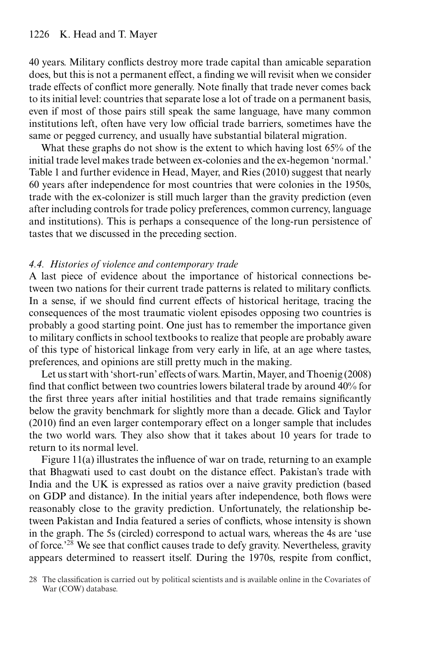40 years. Military conflicts destroy more trade capital than amicable separation does, but this is not a permanent effect, a finding we will revisit when we consider trade effects of conflict more generally. Note finally that trade never comes back to its initial level: countries that separate lose a lot of trade on a permanent basis, even if most of those pairs still speak the same language, have many common institutions left, often have very low official trade barriers, sometimes have the same or pegged currency, and usually have substantial bilateral migration.

What these graphs do not show is the extent to which having lost 65% of the initial trade level makes trade between ex-colonies and the ex-hegemon 'normal.' Table 1 and further evidence in Head, Mayer, and Ries (2010) suggest that nearly 60 years after independence for most countries that were colonies in the 1950s, trade with the ex-colonizer is still much larger than the gravity prediction (even after including controls for trade policy preferences, common currency, language and institutions). This is perhaps a consequence of the long-run persistence of tastes that we discussed in the preceding section.

#### *4.4. Histories of violence and contemporary trade*

A last piece of evidence about the importance of historical connections between two nations for their current trade patterns is related to military conflicts. In a sense, if we should find current effects of historical heritage, tracing the consequences of the most traumatic violent episodes opposing two countries is probably a good starting point. One just has to remember the importance given to military conflicts in school textbooks to realize that people are probably aware of this type of historical linkage from very early in life, at an age where tastes, preferences, and opinions are still pretty much in the making.

Let us start with 'short-run' effects of wars. Martin, Mayer, and Thoenig (2008) find that conflict between two countries lowers bilateral trade by around 40% for the first three years after initial hostilities and that trade remains significantly below the gravity benchmark for slightly more than a decade. Glick and Taylor (2010) find an even larger contemporary effect on a longer sample that includes the two world wars. They also show that it takes about 10 years for trade to return to its normal level.

Figure 11(a) illustrates the influence of war on trade, returning to an example that Bhagwati used to cast doubt on the distance effect. Pakistan's trade with India and the UK is expressed as ratios over a naive gravity prediction (based on GDP and distance). In the initial years after independence, both flows were reasonably close to the gravity prediction. Unfortunately, the relationship between Pakistan and India featured a series of conflicts, whose intensity is shown in the graph. The 5s (circled) correspond to actual wars, whereas the 4s are 'use of force.<sup> $28$ </sup> We see that conflict causes trade to defy gravity. Nevertheless, gravity appears determined to reassert itself. During the 1970s, respite from conflict,

<sup>28</sup> The classification is carried out by political scientists and is available online in the Covariates of War (COW) database.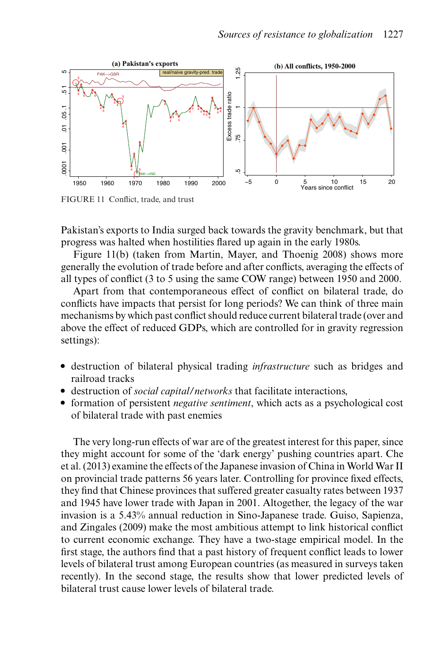![](_page_32_Figure_1.jpeg)

FIGURE 11 Conflict, trade, and trust

Pakistan's exports to India surged back towards the gravity benchmark, but that progress was halted when hostilities flared up again in the early 1980s.

Figure 11(b) (taken from Martin, Mayer, and Thoenig 2008) shows more generally the evolution of trade before and after conflicts, averaging the effects of all types of conflict (3 to 5 using the same COW range) between 1950 and 2000.

Apart from that contemporaneous effect of conflict on bilateral trade, do conflicts have impacts that persist for long periods? We can think of three main mechanisms by which past conflict should reduce current bilateral trade (over and above the effect of reduced GDPs, which are controlled for in gravity regression settings):

- destruction of bilateral physical trading *infrastructure* such as bridges and railroad tracks
- destruction of social capital/networks that facilitate interactions,
- destruction of *social capital/networks* that facilitate interactions, formation of persistent *negative sentiment*, which acts as a psychological cost of bilateral trade with past enemies

The very long-run effects of war are of the greatest interest for this paper, since they might account for some of the 'dark energy' pushing countries apart. Che et al. (2013) examine the effects of the Japanese invasion of China in World War II on provincial trade patterns 56 years later. Controlling for province fixed effects, they find that Chinese provinces that suffered greater casualty rates between 1937 and 1945 have lower trade with Japan in 2001. Altogether, the legacy of the war invasion is a 5.43% annual reduction in Sino-Japanese trade. Guiso, Sapienza, and Zingales (2009) make the most ambitious attempt to link historical conflict to current economic exchange. They have a two-stage empirical model. In the first stage, the authors find that a past history of frequent conflict leads to lower levels of bilateral trust among European countries (as measured in surveys taken recently). In the second stage, the results show that lower predicted levels of bilateral trust cause lower levels of bilateral trade.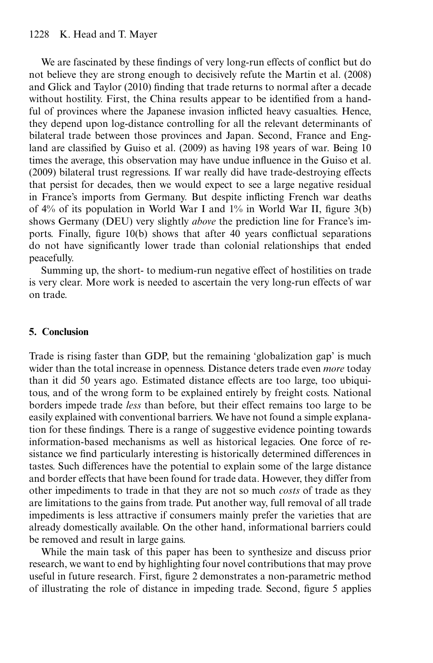We are fascinated by these findings of very long-run effects of conflict but do not believe they are strong enough to decisively refute the Martin et al. (2008) and Glick and Taylor (2010) finding that trade returns to normal after a decade without hostility. First, the China results appear to be identified from a handful of provinces where the Japanese invasion inflicted heavy casualties. Hence, they depend upon log-distance controlling for all the relevant determinants of bilateral trade between those provinces and Japan. Second, France and England are classified by Guiso et al. (2009) as having 198 years of war. Being 10 times the average, this observation may have undue influence in the Guiso et al. (2009) bilateral trust regressions. If war really did have trade-destroying effects that persist for decades, then we would expect to see a large negative residual in France's imports from Germany. But despite inflicting French war deaths of 4% of its population in World War I and 1% in World War II, figure 3(b) shows Germany (DEU) very slightly *above* the prediction line for France's imports. Finally, figure 10(b) shows that after 40 years conflictual separations do not have significantly lower trade than colonial relationships that ended peacefully.

Summing up, the short- to medium-run negative effect of hostilities on trade is very clear. More work is needed to ascertain the very long-run effects of war on trade.

#### **5. Conclusion**

Trade is rising faster than GDP, but the remaining 'globalization gap' is much wider than the total increase in openness. Distance deters trade even *more* today than it did 50 years ago. Estimated distance effects are too large, too ubiquitous, and of the wrong form to be explained entirely by freight costs. National borders impede trade *less* than before, but their effect remains too large to be easily explained with conventional barriers. We have not found a simple explanation for these findings. There is a range of suggestive evidence pointing towards information-based mechanisms as well as historical legacies. One force of resistance we find particularly interesting is historically determined differences in tastes. Such differences have the potential to explain some of the large distance and border effects that have been found for trade data. However, they differ from other impediments to trade in that they are not so much *costs* of trade as they are limitations to the gains from trade. Put another way, full removal of all trade impediments is less attractive if consumers mainly prefer the varieties that are already domestically available. On the other hand, informational barriers could be removed and result in large gains.

While the main task of this paper has been to synthesize and discuss prior research, we want to end by highlighting four novel contributions that may prove useful in future research. First, figure 2 demonstrates a non-parametric method of illustrating the role of distance in impeding trade. Second, figure 5 applies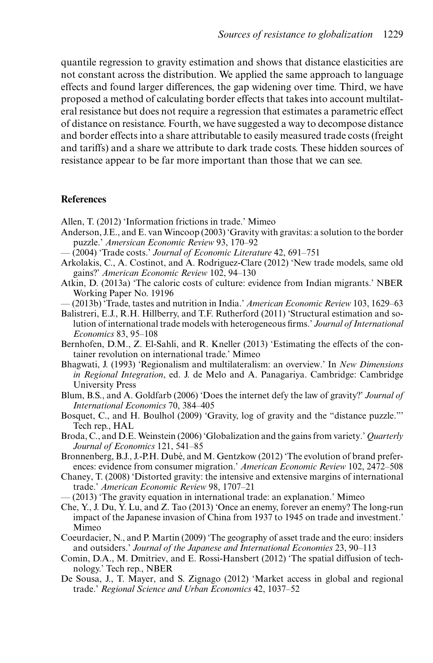quantile regression to gravity estimation and shows that distance elasticities are not constant across the distribution. We applied the same approach to language effects and found larger differences, the gap widening over time. Third, we have proposed a method of calculating border effects that takes into account multilateral resistance but does not require a regression that estimates a parametric effect of distance on resistance. Fourth, we have suggested a way to decompose distance and border effects into a share attributable to easily measured trade costs (freight and tariffs) and a share we attribute to dark trade costs. These hidden sources of resistance appear to be far more important than those that we can see.

#### **References**

- Allen, T. (2012) 'Information frictions in trade.' Mimeo
- Anderson, J.E., and E. van Wincoop (2003) 'Gravity with gravitas: a solution to the border puzzle.' *Amersican Economic Review* 93, 170–92
- (2004) 'Trade costs.' *Journal of Economic Literature* 42, 691–751
- Arkolakis, C., A. Costinot, and A. Rodriguez-Clare (2012) 'New trade models, same old gains?' *American Economic Review* 102, 94–130
- Atkin, D. (2013a) 'The caloric costs of culture: evidence from Indian migrants.' NBER Working Paper No. 19196
- (2013b) 'Trade, tastes and nutrition in India.' *American Economic Review* 103, 1629–63
- Balistreri, E.J., R.H. Hillberry, and T.F. Rutherford (2011) 'Structural estimation and solution of international trade models with heterogeneous firms.' *Journal of International Economics* 83, 95–108
- Bernhofen, D.M., Z. El-Sahli, and R. Kneller (2013) 'Estimating the effects of the container revolution on international trade.' Mimeo
- Bhagwati, J. (1993) 'Regionalism and multilateralism: an overview.' In *New Dimensions in Regional Integration*, ed. J. de Melo and A. Panagariya. Cambridge: Cambridge University Press
- Blum, B.S., and A. Goldfarb (2006) 'Does the internet defy the law of gravity?' *Journal of International Economics* 70, 384–405
- Bosquet, C., and H. Boulhol (2009) 'Gravity, log of gravity and the "distance puzzle."' Tech rep., HAL
- Broda, C., and D.E. Weinstein (2006) 'Globalization and the gains from variety.' *Quarterly Journal of Economics* 121, 541–85
- Bronnenberg, B.J., J.-P.H. Dubé, and M. Gentzkow (2012) 'The evolution of brand preferences: evidence from consumer migration.' *American Economic Review* 102, 2472–508
- Chaney, T. (2008) 'Distorted gravity: the intensive and extensive margins of international trade.' *American Economic Review* 98, 1707–21
- (2013) 'The gravity equation in international trade: an explanation.' Mimeo
- Che, Y., J. Du, Y. Lu, and Z. Tao (2013) 'Once an enemy, forever an enemy? The long-run impact of the Japanese invasion of China from 1937 to 1945 on trade and investment.' Mimeo
- Coeurdacier, N., and P. Martin (2009) 'The geography of asset trade and the euro: insiders and outsiders.' *Journal of the Japanese and International Economies* 23, 90–113
- Comin, D.A., M. Dmitriev, and E. Rossi-Hansbert (2012) 'The spatial diffusion of technology.' Tech rep., NBER
- De Sousa, J., T. Mayer, and S. Zignago (2012) 'Market access in global and regional trade.' *Regional Science and Urban Economics* 42, 1037–52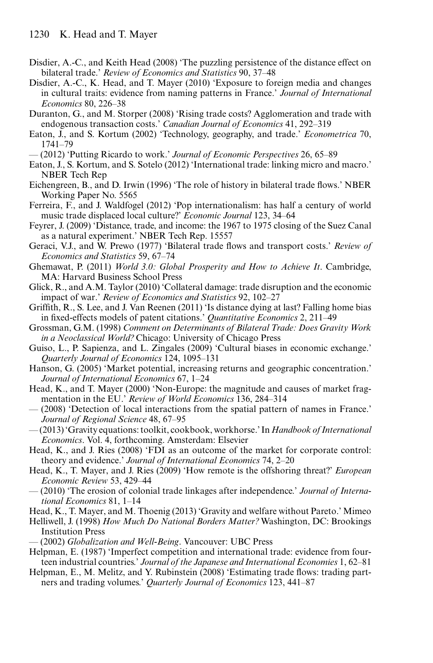- Disdier, A.-C., and Keith Head (2008) 'The puzzling persistence of the distance effect on bilateral trade.' *Review of Economics and Statistics* 90, 37–48
- Disdier, A.-C., K. Head, and T. Mayer (2010) 'Exposure to foreign media and changes in cultural traits: evidence from naming patterns in France.' *Journal of International Economics* 80, 226–38
- Duranton, G., and M. Storper (2008) 'Rising trade costs? Agglomeration and trade with endogenous transaction costs.' *Canadian Journal of Economics* 41, 292–319
- Eaton, J., and S. Kortum (2002) 'Technology, geography, and trade.' *Econometrica* 70, 1741–79
- (2012) 'Putting Ricardo to work.' *Journal of Economic Perspectives* 26, 65–89
- Eaton, J., S. Kortum, and S. Sotelo (2012) 'International trade: linking micro and macro.' NBER Tech Rep
- Eichengreen, B., and D. Irwin (1996) 'The role of history in bilateral trade flows.' NBER Working Paper No. 5565
- Ferreira, F., and J. Waldfogel (2012) 'Pop internationalism: has half a century of world music trade displaced local culture?' *Economic Journal* 123, 34–64
- Feyrer, J. (2009) 'Distance, trade, and income: the 1967 to 1975 closing of the Suez Canal as a natural experiment.' NBER Tech Rep. 15557
- Geraci, V.J., and W. Prewo (1977) 'Bilateral trade flows and transport costs.' *Review of Economics and Statistics* 59, 67–74
- Ghemawat, P. (2011) *World 3.0: Global Prosperity and How to Achieve It*. Cambridge, MA: Harvard Business School Press
- Glick, R., and A.M. Taylor (2010) 'Collateral damage: trade disruption and the economic impact of war.' *Review of Economics and Statistics* 92, 102–27
- Griffith, R., S. Lee, and J. Van Reenen (2011) 'Is distance dying at last? Falling home bias in fixed-effects models of patent citations.' *Quantitative Economics* 2, 211–49
- Grossman, G.M. (1998) *Comment on Determinants of Bilateral Trade: Does Gravity Work in a Neoclassical World?* Chicago: University of Chicago Press
- Guiso, L., P. Sapienza, and L. Zingales (2009) 'Cultural biases in economic exchange.' *Quarterly Journal of Economics* 124, 1095–131
- Hanson, G. (2005) 'Market potential, increasing returns and geographic concentration.' *Journal of International Economics* 67, 1–24
- Head, K., and T. Mayer (2000) 'Non-Europe: the magnitude and causes of market fragmentation in the EU.' *Review of World Economics* 136, 284–314
- (2008) 'Detection of local interactions from the spatial pattern of names in France.' *Journal of Regional Science* 48, 67–95
- (2013) 'Gravity equations: toolkit, cookbook, workhorse.' In *Handbook of International Economics*. Vol. 4, forthcoming. Amsterdam: Elsevier
- Head, K., and J. Ries (2008) 'FDI as an outcome of the market for corporate control: theory and evidence.' *Journal of International Economics* 74, 2–20
- Head, K., T. Mayer, and J. Ries (2009) 'How remote is the offshoring threat?' *European Economic Review* 53, 429–44
- (2010) 'The erosion of colonial trade linkages after independence.' *Journal of International Economics* 81, 1–14
- Head, K., T. Mayer, and M. Thoenig (2013) 'Gravity and welfare without Pareto.' Mimeo
- Helliwell, J. (1998) *How Much Do National Borders Matter?* Washington, DC: Brookings Institution Press
- (2002) *Globalization and Well-Being*. Vancouver: UBC Press
- Helpman, E. (1987) 'Imperfect competition and international trade: evidence from fourteen industrial countries.' *Journal of the Japanese and International Economies* 1, 62–81
- Helpman, E., M. Melitz, and Y. Rubinstein (2008) 'Estimating trade flows: trading partners and trading volumes.' *Quarterly Journal of Economics* 123, 441–87